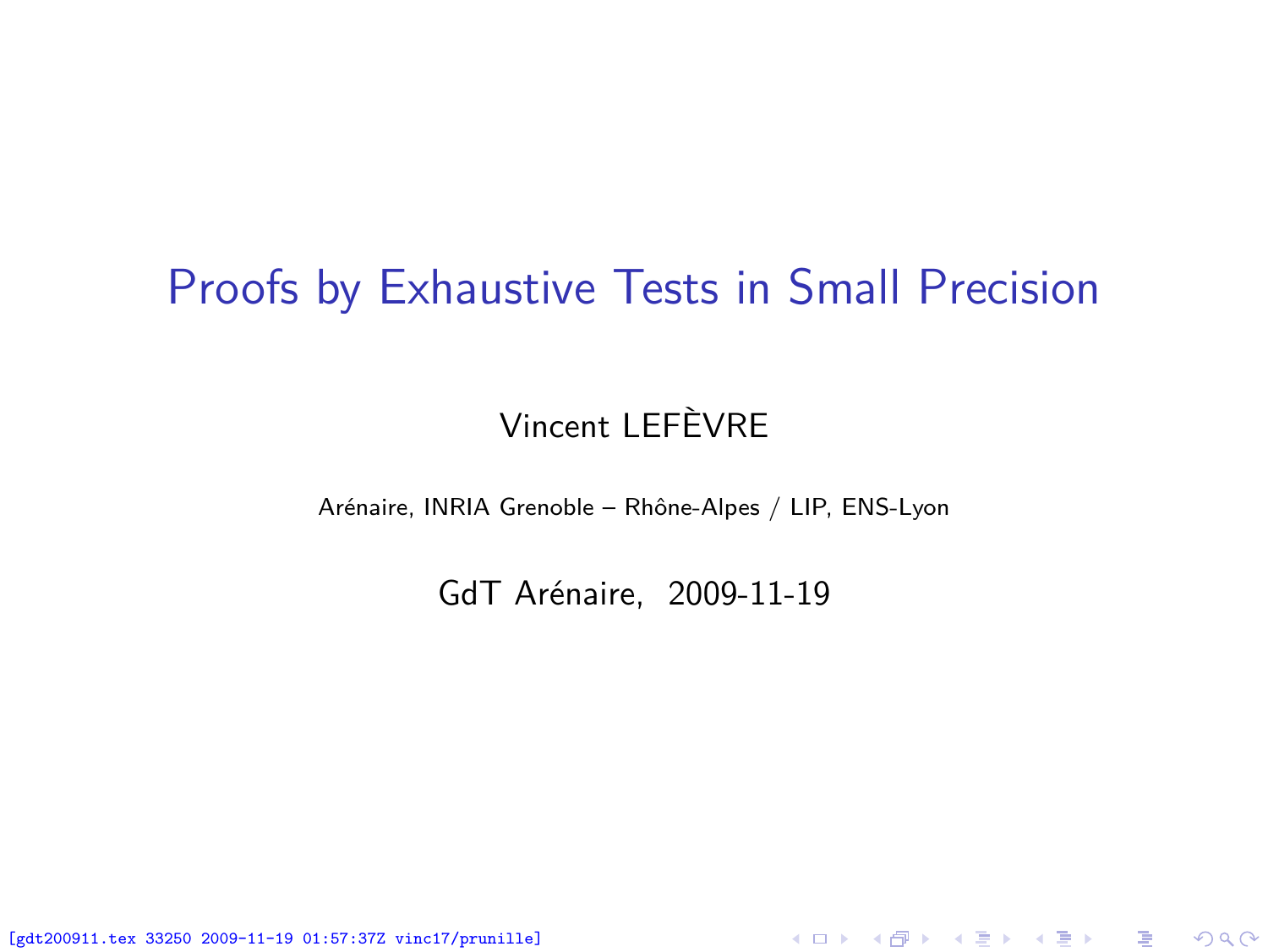#### Proofs by Exhaustive Tests in Small Precision

#### Vincent LEFÈVRE

Arénaire, INRIA Grenoble – Rhône-Alpes / LIP, ENS-Lyon

GdT Arénaire, 2009-11-19

<span id="page-0-0"></span>K ロ ▶ K @ ▶ K 할 ▶ K 할 ▶ 이 할 → 900

[gdt200911.tex 33250 2009-11-19 01:57:37Z vinc17/prunille]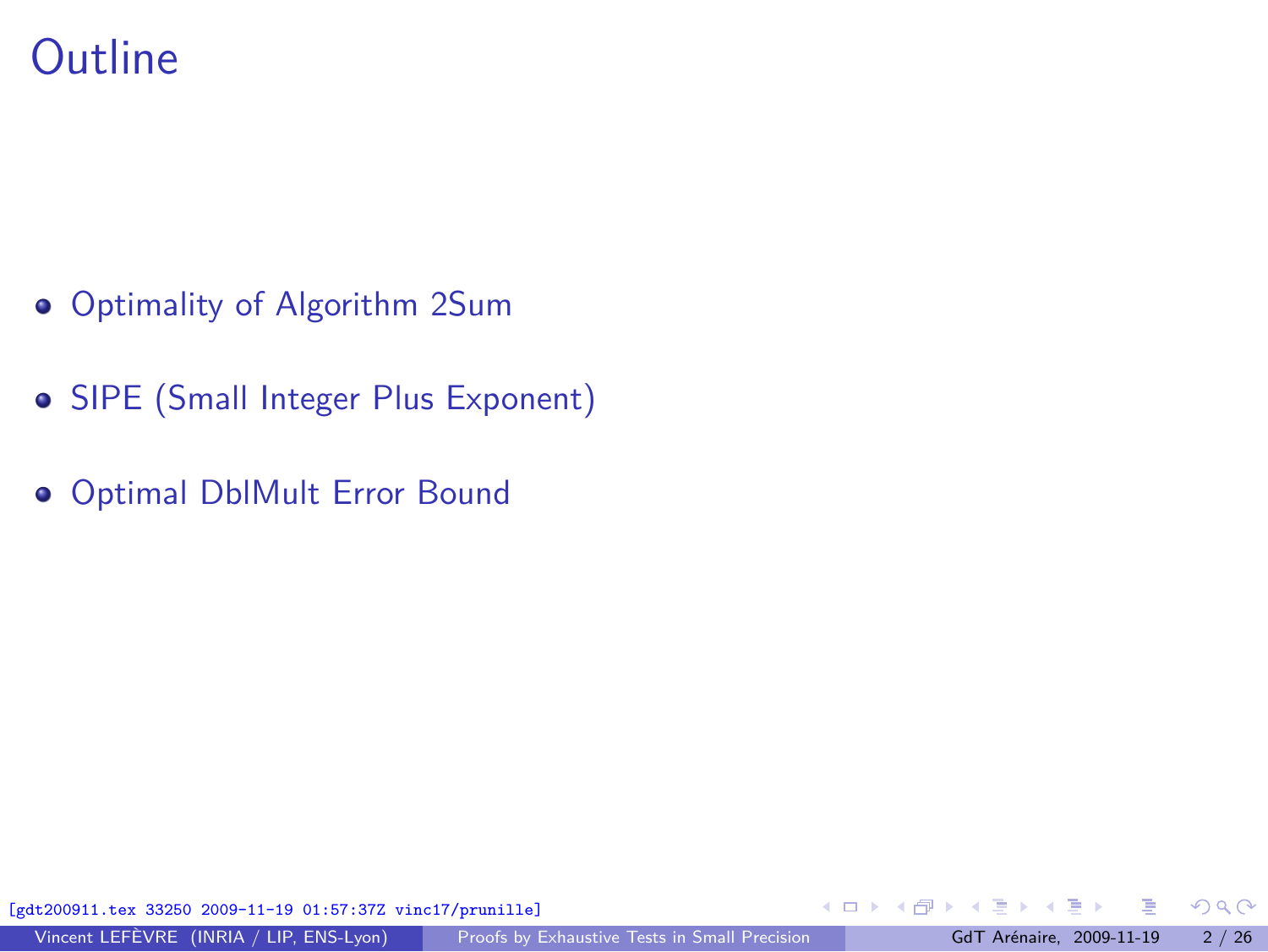### **Outline**

- [Optimality of Algorithm 2Sum](#page-2-0)
- [SIPE \(Small Integer Plus Exponent\)](#page-17-0)
- [Optimal DblMult Error Bound](#page-22-0)

[gdt200911.tex 33250 2009-11-19 01:57:37Z vinc17/prunille]

 $\Omega$ 

**← ロ ▶ → イ 何 ▶**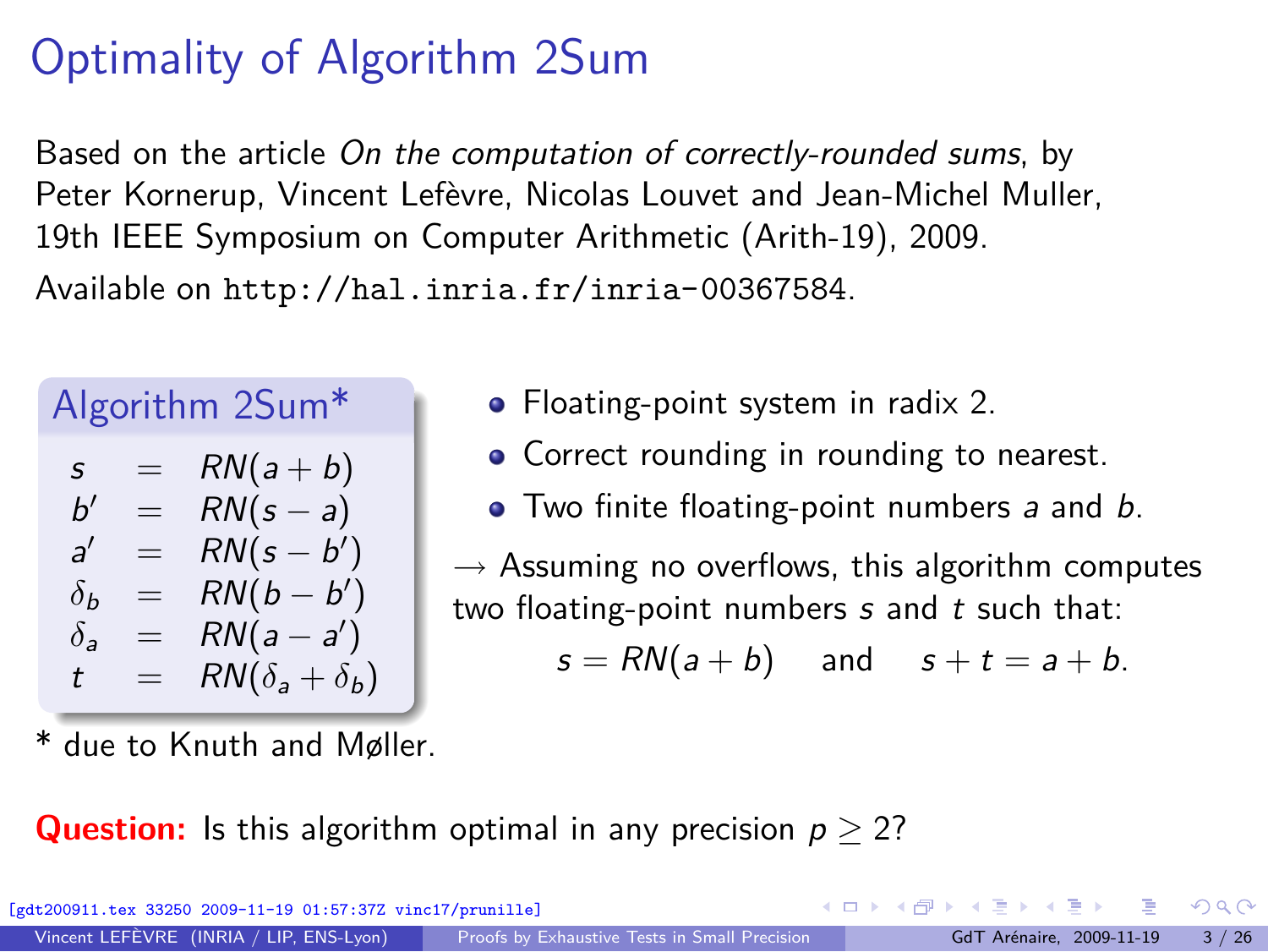# Optimality of Algorithm 2Sum

Based on the article *On the computation of correctly-rounded sums*, by Peter Kornerup, Vincent Lefèvre, Nicolas Louvet and Jean-Michel Muller, 19th IEEE Symposium on Computer Arithmetic (Arith-19), 2009. Available on <http://hal.inria.fr/inria-00367584>.

|                |     | Algorithm 2Sum*           |
|----------------|-----|---------------------------|
| $\mathsf{s}$   |     | $RN(a+b)$                 |
| b'             | $=$ | $RN(s-a)$                 |
| $\mathcal{A}'$ |     | $RN(s-b')$                |
| $\delta_b$     |     | $RN(b-b')$                |
| $\delta$       |     | $RN(a-a')$                |
| t              |     | $RN(\delta_a + \delta_b)$ |

due to Knuth and Møller.

- Floating-point system in radix 2.
- Correct rounding in rounding to nearest.
- Two finite floating-point numbers *a* and *b*.

*→* Assuming no overflows, this algorithm computes two floating-point numbers *s* and *t* such that:

<span id="page-2-0"></span>
$$
s = RN(a + b) \quad \text{and} \quad s + t = a + b.
$$

**Question:** Is this algorithm optimal in any precision *p ≥* 2?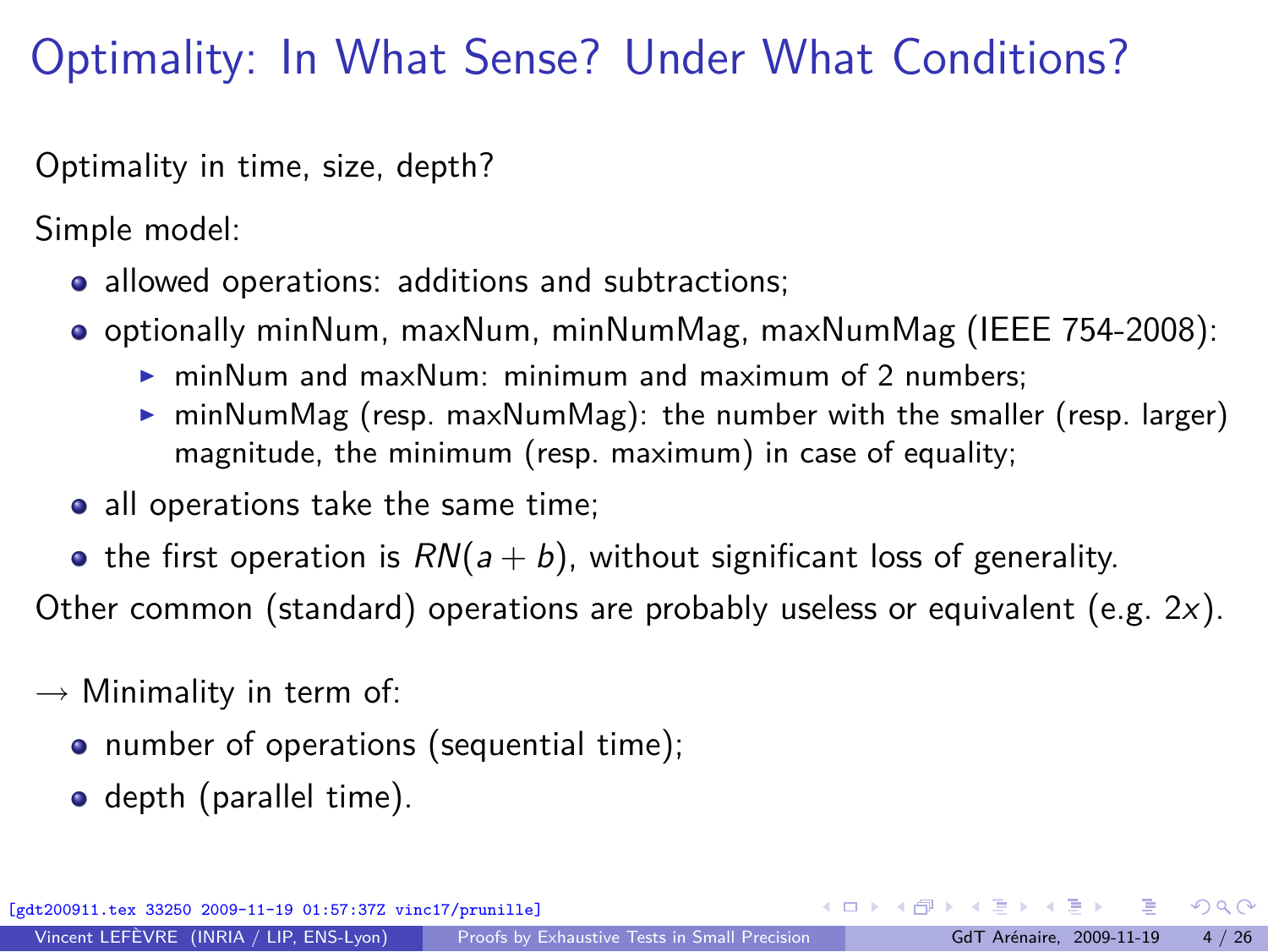# Optimality: In What Sense? Under What Conditions?

Optimality in time, size, depth?

Simple model:

- allowed operations: additions and subtractions;
- optionally minNum, maxNum, minNumMag, maxNumMag (IEEE 754-2008):
	- $\triangleright$  minNum and maxNum: minimum and maximum of 2 numbers;
	- $\triangleright$  minNumMag (resp. maxNumMag): the number with the smaller (resp. larger) magnitude, the minimum (resp. maximum) in case of equality;
- all operations take the same time;
- the first operation is  $RN(a + b)$ , without significant loss of generality.

Other common (standard) operations are probably useless or equivalent (e.g. 2*x*).

- *→* Minimality in term of:
	- number of operations (sequential time);
	- **o** depth (parallel time).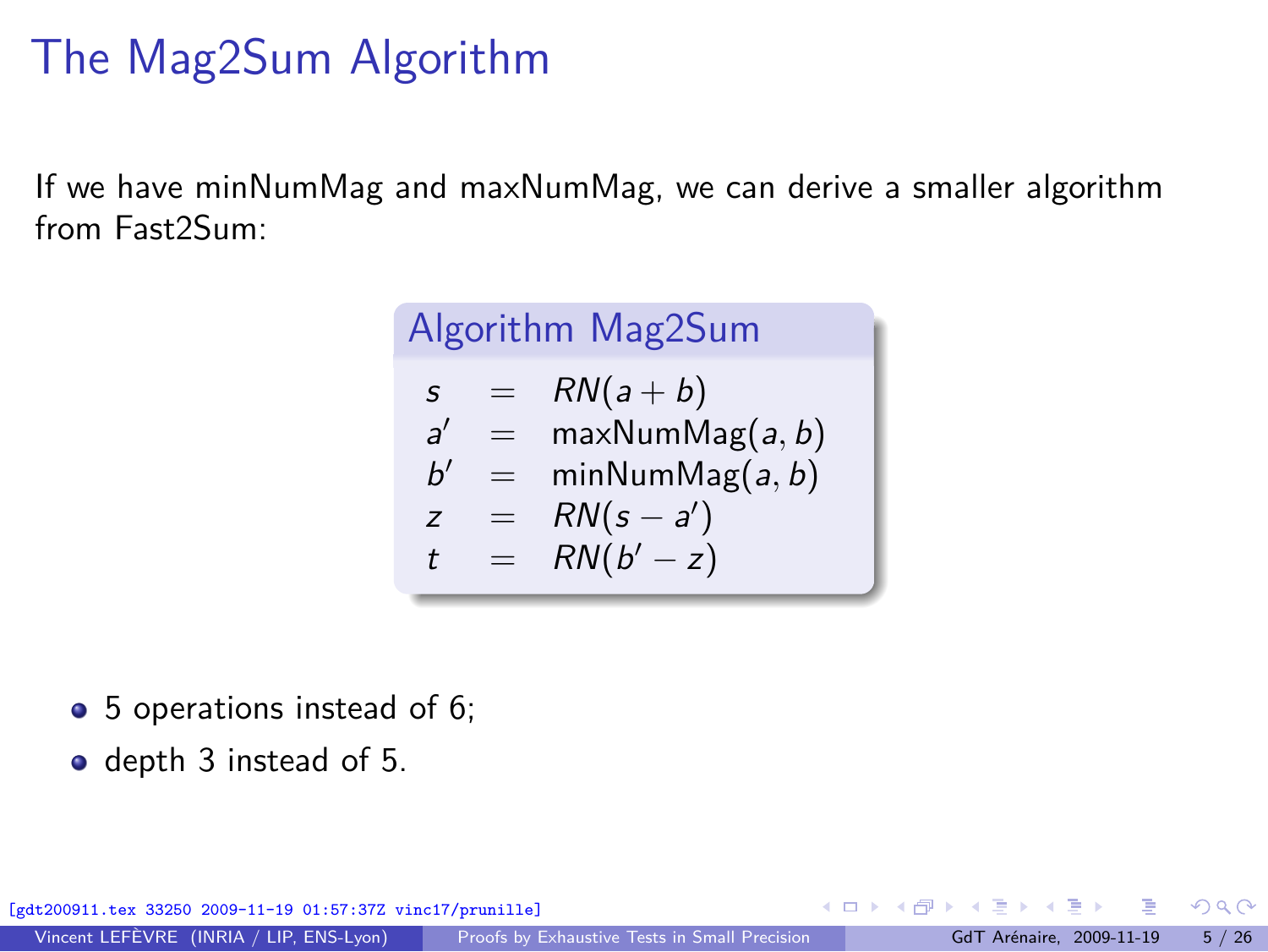# The Mag2Sum Algorithm

If we have minNumMag and maxNumMag, we can derive a smaller algorithm from Fast2Sum:

| Algorithm Mag2Sum                               |            |                                                                             |  |  |
|-------------------------------------------------|------------|-----------------------------------------------------------------------------|--|--|
| S<br>$\mathcal{A}'$<br>h'<br>z<br>$\mathcal{L}$ | $=$<br>$=$ | $RN(a+b)$<br>maxNumMag(a, b)<br>minNumMag(a, b)<br>$RN(s-a')$<br>$RN(b'-z)$ |  |  |
|                                                 |            |                                                                             |  |  |

- 5 operations instead of 6;
- depth 3 instead of 5.

[gdt200911.tex 33250 2009-11-19 01:57:37Z vinc17/prunille]

 $\Omega$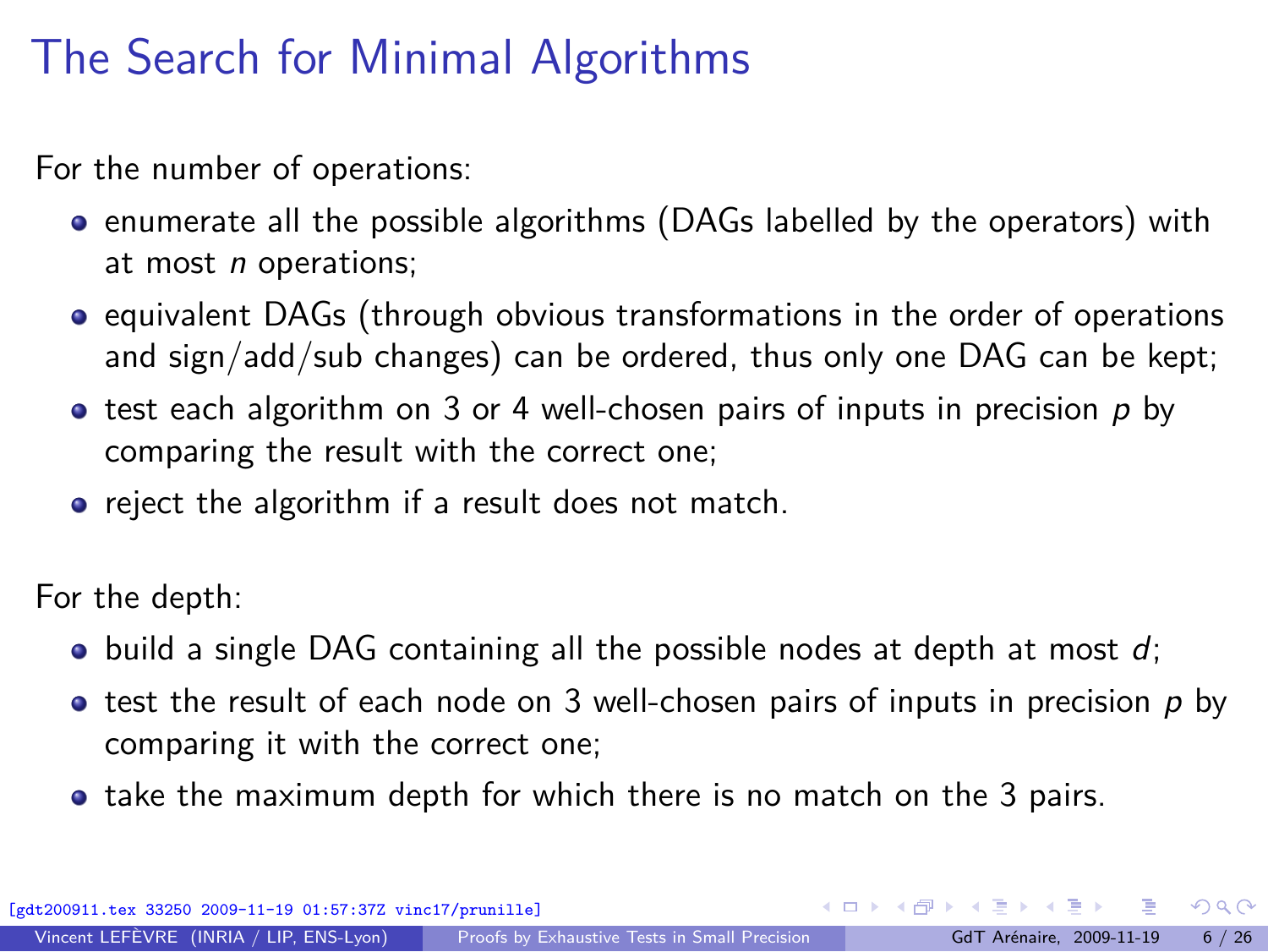# The Search for Minimal Algorithms

For the number of operations:

- **•** enumerate all the possible algorithms (DAGs labelled by the operators) with at most *n* operations;
- equivalent DAGs (through obvious transformations in the order of operations and sign/add/sub changes) can be ordered, thus only one DAG can be kept;
- test each algorithm on 3 or 4 well-chosen pairs of inputs in precision p by comparing the result with the correct one;
- reject the algorithm if a result does not match.

For the depth:

- build a single DAG containing all the possible nodes at depth at most *d*;
- $\bullet$  test the result of each node on 3 well-chosen pairs of inputs in precision  $p$  by comparing it with the correct one;
- take the maximum depth for which there is no match on the 3 pairs.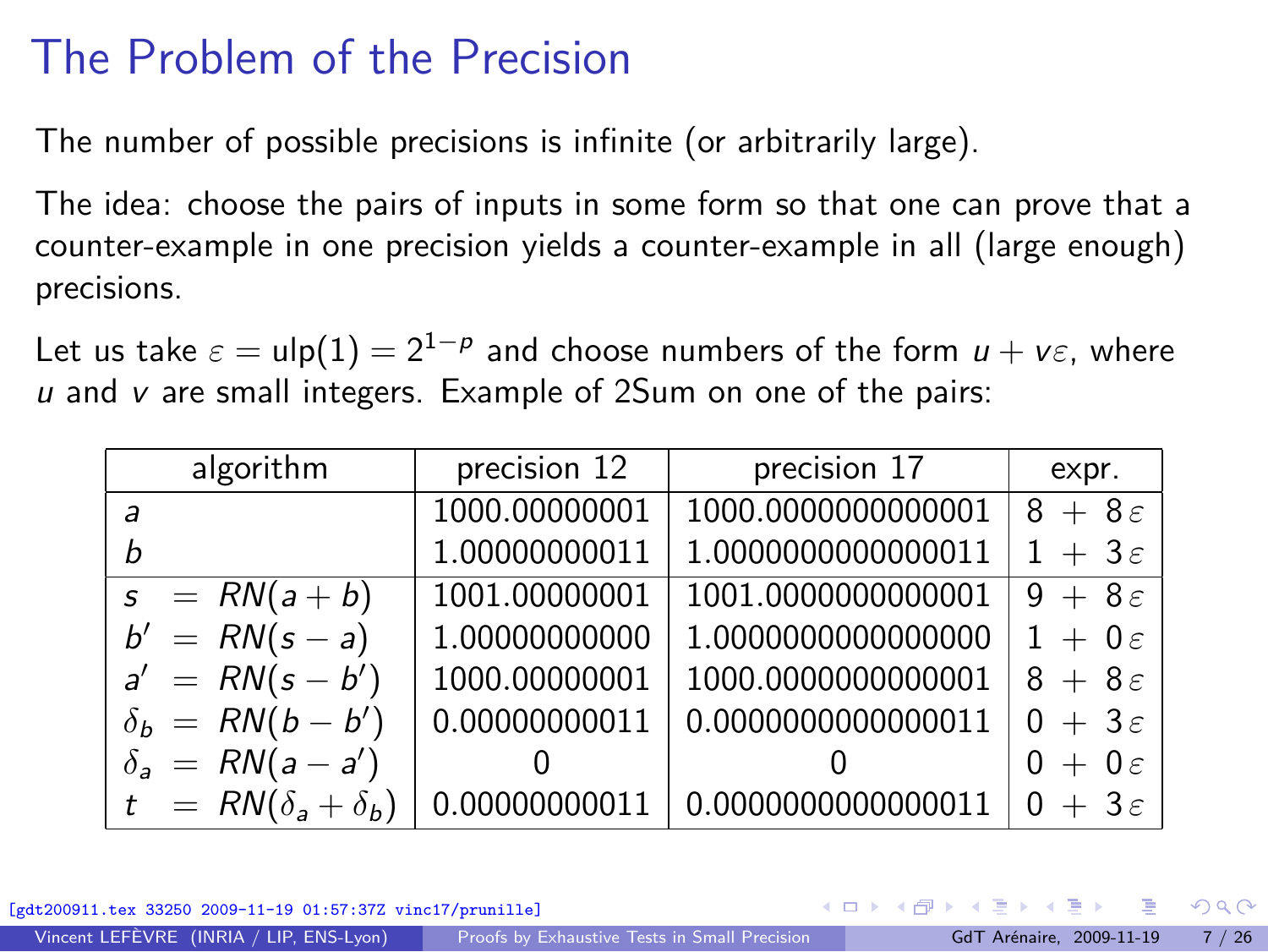# The Problem of the Precision

The number of possible precisions is infinite (or arbitrarily large).

The idea: choose the pairs of inputs in some form so that one can prove that a counter-example in one precision yields a counter-example in all (large enough) precisions.

Let us take  $\varepsilon = \mathsf{ulp}(1) = 2^{1-p}$  and choose numbers of the form  $u + v \varepsilon$ , where *u* and *v* are small integers. Example of 2Sum on one of the pairs:

| algorithm                     | precision 12  | precision 17       | expr.               |
|-------------------------------|---------------|--------------------|---------------------|
| a                             | 1000.00000001 | 1000.0000000000001 | $8+8\varepsilon$    |
|                               | 1.00000000011 | 1.0000000000000011 | $1 + 3\varepsilon$  |
| $s = RN(a+b)$                 | 1001.00000001 | 1001.0000000000001 | $9 + 8\varepsilon$  |
| $b' = RN(s - a)$              | 1.00000000000 | 1.0000000000000000 | $1 + 0\epsilon$     |
| $a' = RN(s - b')$             | 1000.00000001 | 1000.0000000000001 | $8+8\varepsilon$    |
| $\delta_b = RN(b-b')$         | 0.00000000011 | 0.0000000000000011 | $0 + 3\varepsilon$  |
| $\delta_a = RN(a-a')$         |               |                    | $0 + 0 \varepsilon$ |
| $t = RN(\delta_a + \delta_b)$ | 0.00000000011 | 0.0000000000000011 | $0 + 3\varepsilon$  |

 $33250 2009 - 11 - 19 01:57:37Z \text{ vinc17/pruni11e}$ 

 $\Omega$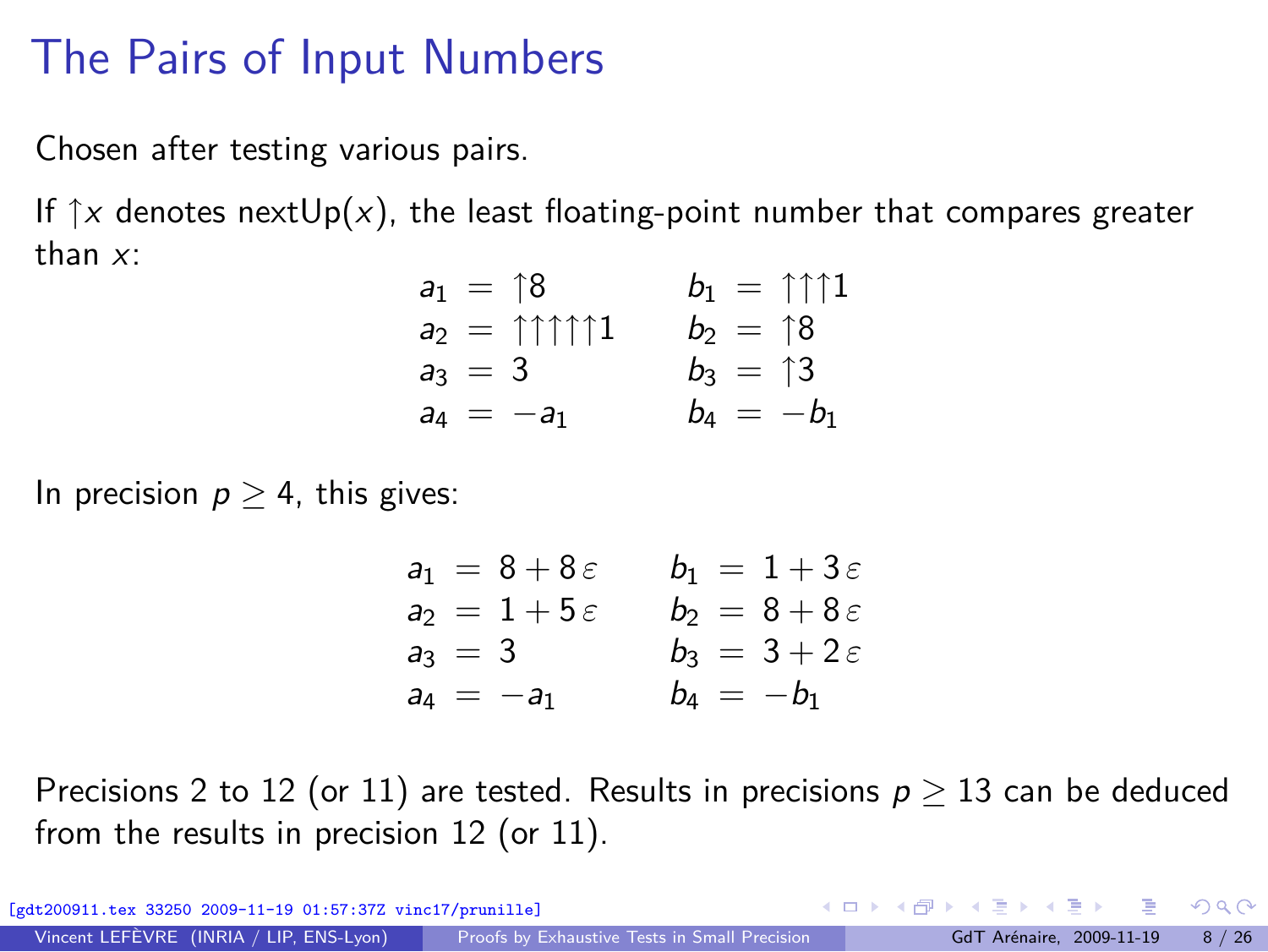### The Pairs of Input Numbers

Chosen after testing various pairs.

If  $\uparrow x$  denotes nextUp(x), the least floating-point number that compares greater than *x*:

$$
a_1 = \begin{cases} 8 & b_1 = \uparrow \uparrow \uparrow 1 \\ a_2 = \uparrow \uparrow \uparrow \uparrow 1 & b_2 = \uparrow 8 \\ a_3 = 3 & b_3 = \uparrow 3 \\ a_4 = -a_1 & b_4 = -b_1 \end{cases}
$$

In precision  $p \geq 4$ , this gives:

$$
a_1 = 8 + 8\varepsilon
$$
  $b_1 = 1 + 3\varepsilon$   
\n $a_2 = 1 + 5\varepsilon$   $b_2 = 8 + 8\varepsilon$   
\n $a_3 = 3$   $b_3 = 3 + 2\varepsilon$   
\n $a_4 = -a_1$   $b_4 = -b_1$ 

Precisions 2 to 12 (or 11) are tested. Results in precisions *p ≥* 13 can be deduced from the results in precision 12 (or 11).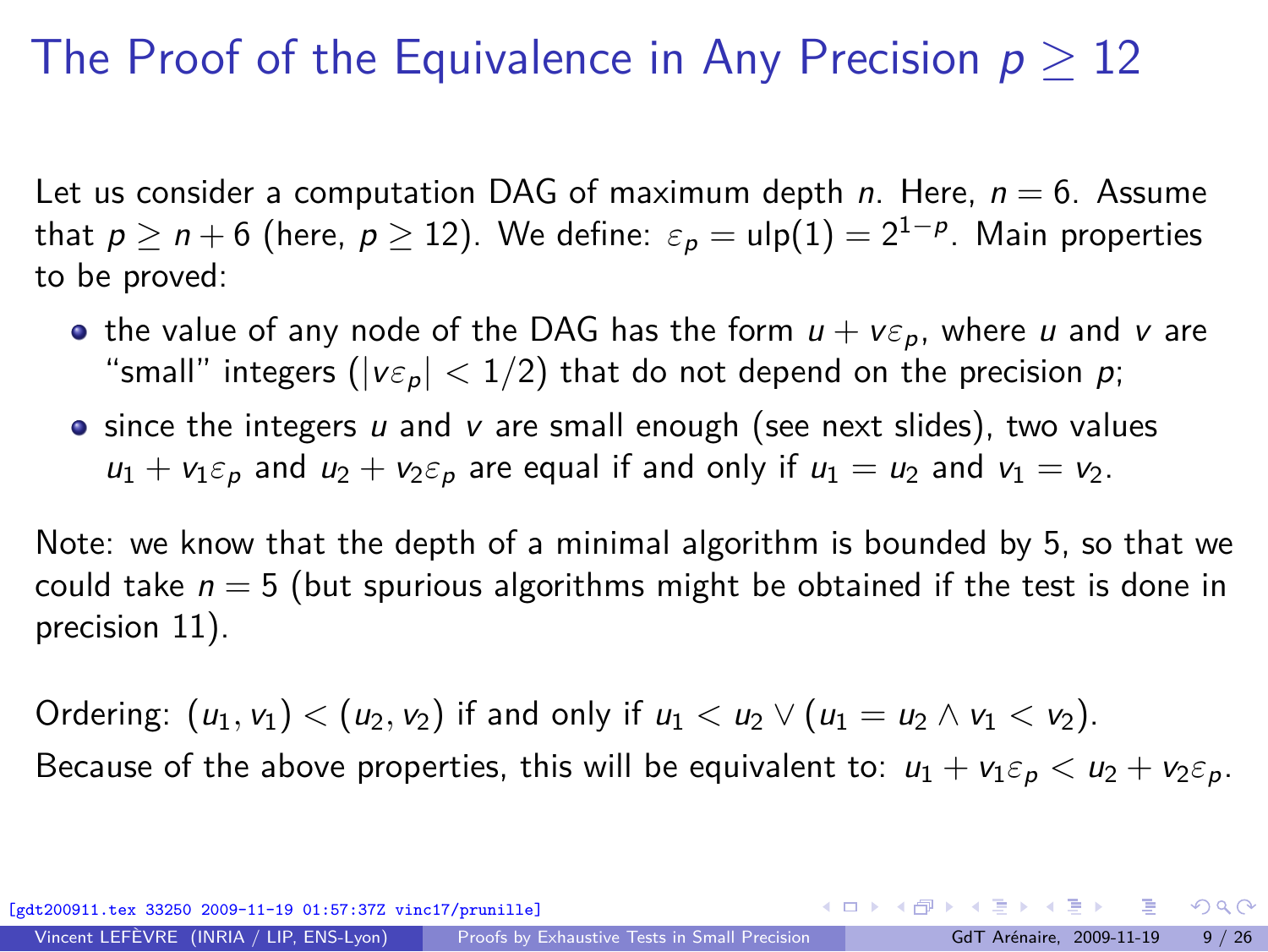## The Proof of the Equivalence in Any Precision p *≥* 12

Let us consider a computation DAG of maximum depth *n*. Here, *n* = 6. Assume that  $p \ge n+6$  (here,  $p \ge 12$ ). We define:  $\varepsilon_p = \mathsf{ulp}(1) = 2^{1-p}$ . Main properties to be proved:

- the value of any node of the DAG has the form  $u + v \varepsilon_p$ , where *u* and *v* are "small" integers ( $|v \varepsilon_p|$  < 1/2) that do not depend on the precision *p*;
- since the integers *u* and *v* are small enough (see next slides), two values  $u_1 + v_1 \varepsilon_p$  and  $u_2 + v_2 \varepsilon_p$  are equal if and only if  $u_1 = u_2$  and  $v_1 = v_2$ .

Note: we know that the depth of a minimal algorithm is bounded by 5, so that we could take *n* = 5 (but spurious algorithms might be obtained if the test is done in precision 11).

Ordering:  $(u_1, v_1) < (u_2, v_2)$  if and only if  $u_1 < u_2 \vee (u_1 = u_2 \wedge v_1 < v_2)$ . Because of the above properties, this will be equivalent to:  $u_1 + v_1 \varepsilon_p < u_2 + v_2 \varepsilon_p$ .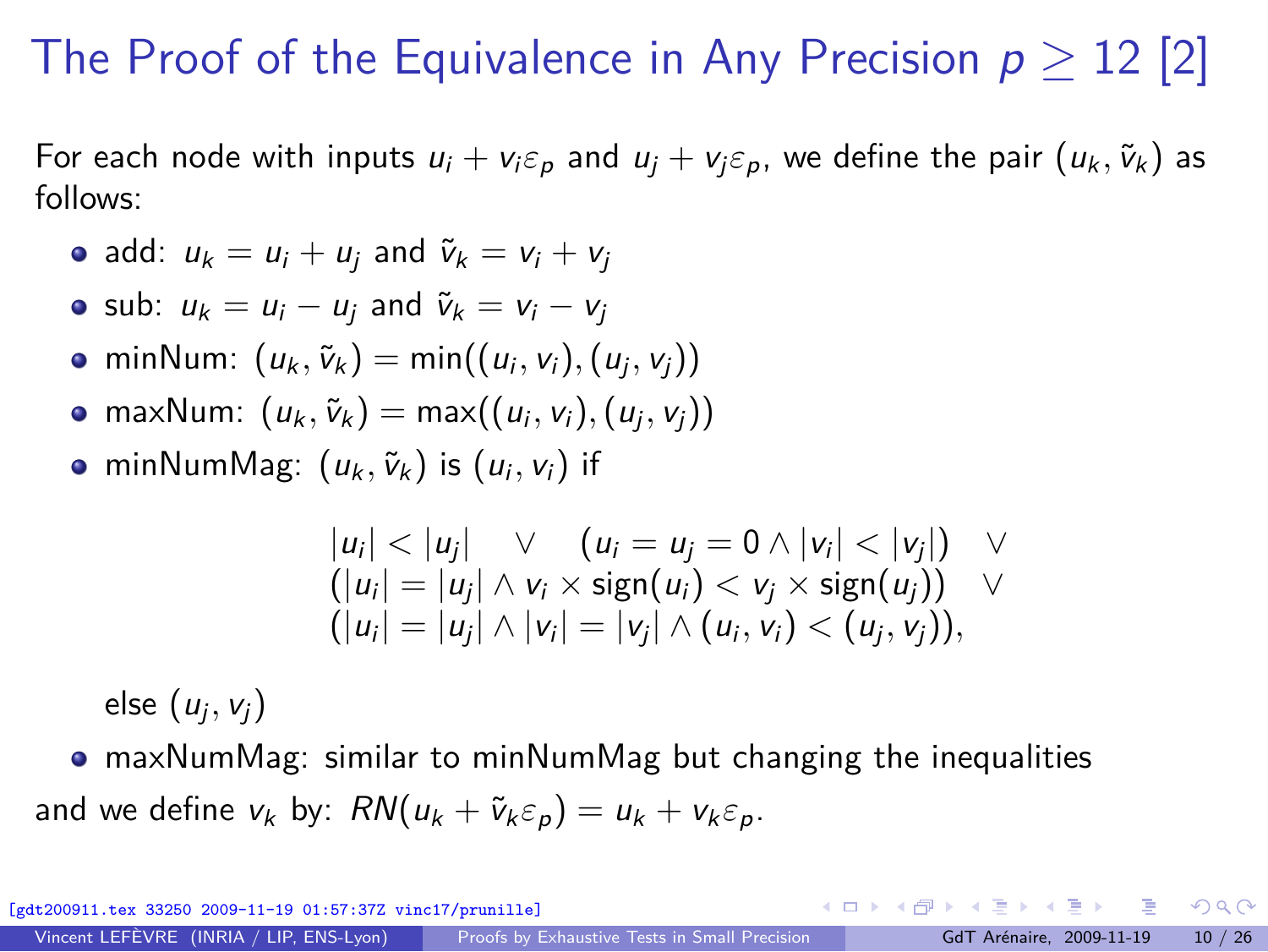# The Proof of the Equivalence in Any Precision  $p \geq 12$  [2]

For each node with inputs  $u_i + v_i \varepsilon_p$  and  $u_j + v_j \varepsilon_p$ , we define the pair  $(u_k, \tilde{v}_k)$  as follows:

- add:  $u_k = u_i + u_i$  and  $\tilde{v}_k = v_i + v_i$
- sub:  $u_k = u_i u_i$  and  $\tilde{v}_k = v_i v_i$
- $minNum: (u_k, \tilde{v}_k) = min((u_i, v_i), (u_j, v_j))$
- $maxNum: (u_k, \tilde{v}_k) = max((u_i, v_i), (u_j, v_j))$
- $minNumMag: (u_k, \tilde{v}_k)$  is  $(u_i, v_i)$  if

$$
|u_i| < |u_j| \quad \vee \quad (u_i = u_j = 0 \land |v_i| < |v_j|) \quad \vee
$$
  
\n
$$
(|u_i| = |u_j| \land v_i \times \text{sign}(u_i) < v_j \times \text{sign}(u_j)) \quad \vee
$$
  
\n
$$
(|u_i| = |u_j| \land |v_i| = |v_j| \land (u_i, v_i) < (u_j, v_j)),
$$

else (*u*<sup>j</sup> *, v*j)

maxNumMag: similar to minNumMag but changing the inequalities and we define  $v_k$  by:  $RN(u_k + \tilde{v}_k \varepsilon_n) = u_k + v_k \varepsilon_n$ .

[gdt200911.tex 33250 2009-11-19 01:57:37Z vinc17/prunille]

 $\Omega$ 

イロト イ何 トイヨ トイヨト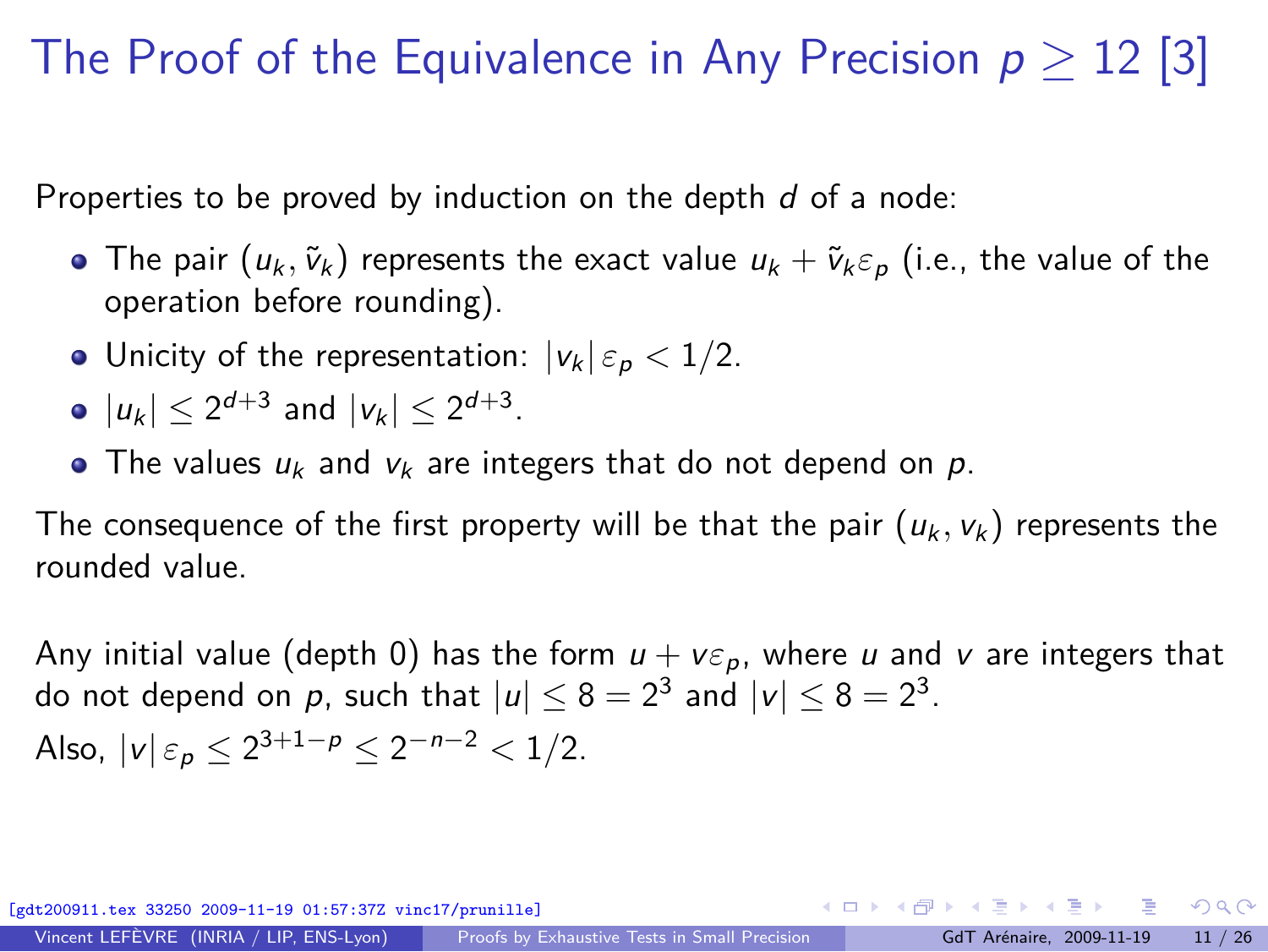# The Proof of the Equivalence in Any Precision p *≥* 12 [3]

Properties to be proved by induction on the depth *d* of a node:

- **•** The pair  $(u_k, \tilde{v}_k)$  represents the exact value  $u_k + \tilde{v}_k \varepsilon_p$  (i.e., the value of the operation before rounding).
- Unicity of the representation:  $|v_k| \varepsilon_p < 1/2$ .
- $|u_k| \leq 2^{d+3}$  and  $|v_k| \leq 2^{d+3}$ .
- The values  $u_k$  and  $v_k$  are integers that do not depend on  $p$ .

The consequence of the first property will be that the pair  $(u_k, v_k)$  represents the rounded value.

Any initial value (depth 0) has the form  $u + v\varepsilon_p$ , where *u* and *v* are integers that do not depend on  $p$ , such that  $|u| \leq 8 = 2^3$  and  $|v| \leq 8 = 2^3$ . Also,  $|v| \varepsilon_p \leq 2^{3+1-p} \leq 2^{-n-2} < 1/2$ .

 $33250$   $2009-11-19$   $01:57:37Z$  vinc17/prunille]

Vincent LEFÈVRE (INRIA / LIP, ENS-Lyon) [Proofs by Exhaustive Tests in Small Precision](#page-0-0) GdT Arénaire, 2009-11-19 11 / 26

 $QQ$ 

 $A \equiv \mathbf{1} + \mathbf{1} + \mathbf{1} + \mathbf{1} + \mathbf{1} + \mathbf{1} + \mathbf{1} + \mathbf{1} + \mathbf{1} + \mathbf{1} + \mathbf{1} + \mathbf{1} + \mathbf{1} + \mathbf{1} + \mathbf{1} + \mathbf{1} + \mathbf{1} + \mathbf{1} + \mathbf{1} + \mathbf{1} + \mathbf{1} + \mathbf{1} + \mathbf{1} + \mathbf{1} + \mathbf{1} + \mathbf{1} + \mathbf{1} + \mathbf{1} + \mathbf{1} + \mathbf{1} + \mathbf{1} +$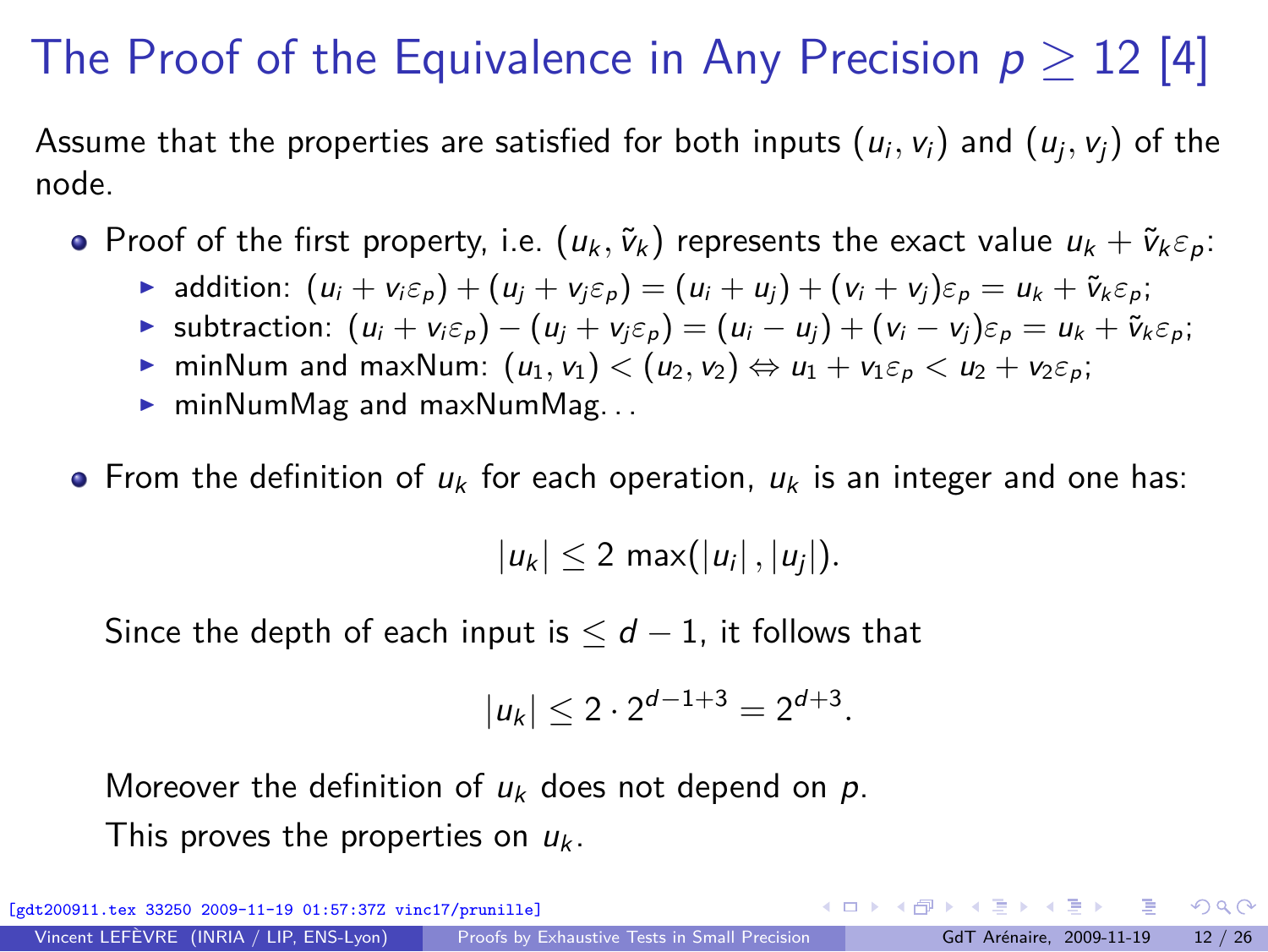# The Proof of the Equivalence in Any Precision  $p \geq 12$  [4]

Assume that the properties are satisfied for both inputs  $(u_i,v_i)$  and  $(u_j,v_j)$  of the node.

- **•** Proof of the first property, i.e.  $(u_k, \tilde{v}_k)$  represents the exact value  $u_k + \tilde{v}_k \varepsilon_p$ :
	- **►** addition:  $(u_i + v_i \varepsilon_p) + (u_i + v_i \varepsilon_p) = (u_i + u_i) + (v_i + v_i) \varepsilon_p = u_k + \tilde{v}_k \varepsilon_p;$
	- ► subtraction:  $(u_i + v_i \varepsilon_p) (u_i + v_i \varepsilon_p) = (u_i u_i) + (v_i v_i) \varepsilon_p = u_k + \tilde{v}_k \varepsilon_p;$
	- $\triangleright$  minNum and maxNum:  $(u_1, v_1) < (u_2, v_2) \Leftrightarrow u_1 + v_1 \varepsilon_p < u_2 + v_2 \varepsilon_p$ ;
	- $\triangleright$  minNumMag and maxNumMag...
- **•** From the definition of  $u_k$  for each operation,  $u_k$  is an integer and one has:

 $|u_k| \leq 2 \max(|u_i|, |u_j|).$ 

Since the depth of each input is  $\leq d-1$ , it follows that

$$
|u_k| \leq 2 \cdot 2^{d-1+3} = 2^{d+3}.
$$

Moreover the definition of *u*<sup>k</sup> does not depend on *p*. This proves the properties on  $u_k$ .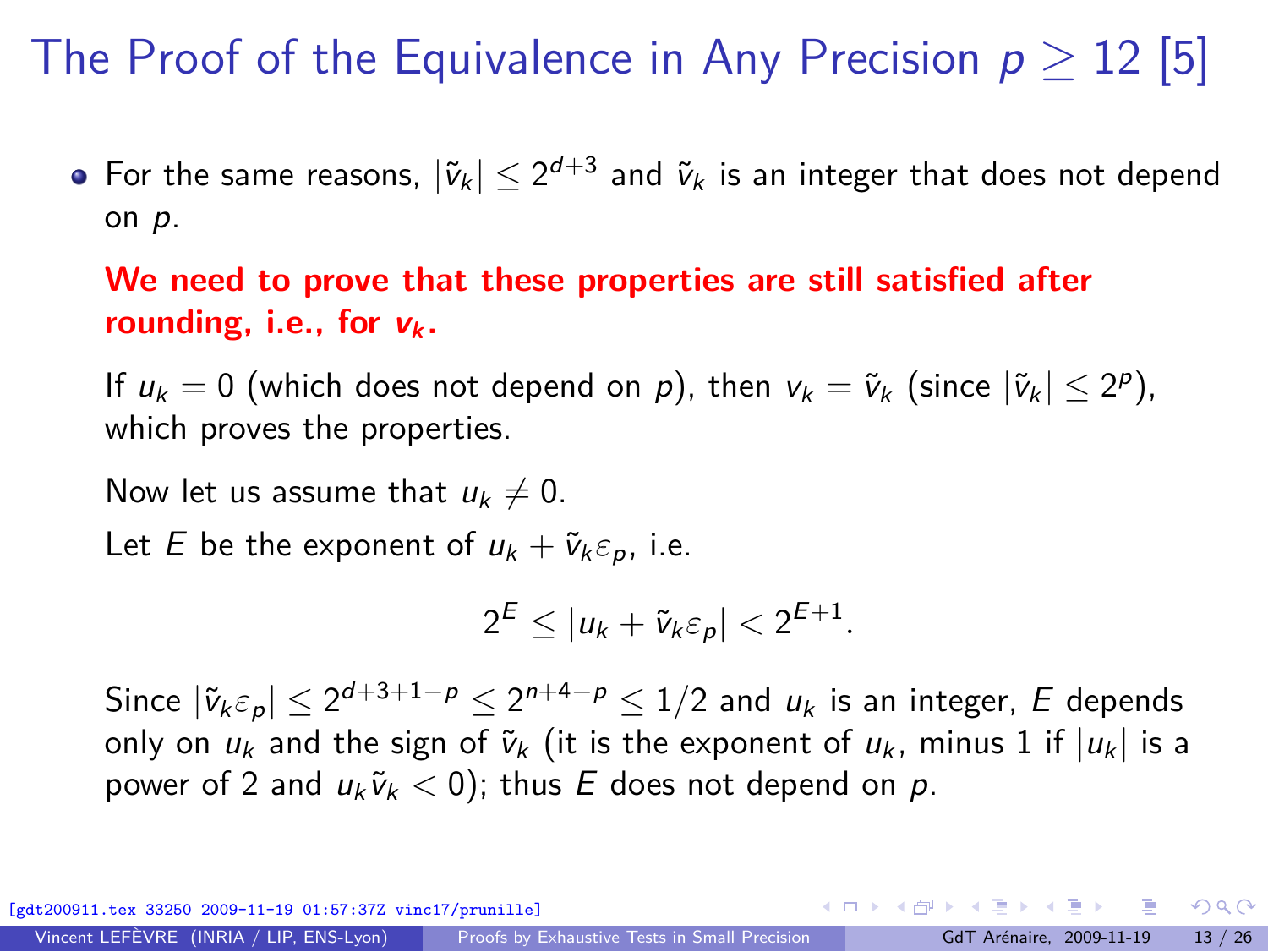# The Proof of the Equivalence in Any Precision p *≥* 12 [5]

For the same reasons,  $|\tilde{v}_k| \leq 2^{d+3}$  and  $\tilde{v}_k$  is an integer that does not depend on *p*.

#### **We need to prove that these properties are still satisfied after** *rounding, i.e., for* $v_k$ **.**

If  $u_k = 0$  (which does not depend on  $p$ ), then  $v_k = \tilde{v}_k$  (since  $|\tilde{v}_k| \leq 2^p$ ), which proves the properties.

Now let us assume that  $u_k \neq 0$ .

Let *E* be the exponent of  $u_k + \tilde{v}_k \varepsilon_p$ , i.e.

$$
2^E \le |u_k + \tilde{v}_k \varepsilon_p| < 2^{E+1}.
$$

Since  $|\tilde{v}_k \varepsilon_p| \leq 2^{d+3+1-p} \leq 2^{n+4-p} \leq 1/2$  and  $u_k$  is an integer,  $E$  depends only on  $u_k$  and the sign of  $\tilde{v}_k$  (it is the exponent of  $u_k$ , minus 1 if  $|u_k|$  is a power of 2 and  $u_k \tilde{v}_k < 0$ ; thus *E* does not depend on *p*.

 $A \equiv \mathbf{1} + \mathbf{1} + \mathbf{1} + \mathbf{1} + \mathbf{1} + \mathbf{1} + \mathbf{1} + \mathbf{1} + \mathbf{1} + \mathbf{1} + \mathbf{1} + \mathbf{1} + \mathbf{1} + \mathbf{1} + \mathbf{1} + \mathbf{1} + \mathbf{1} + \mathbf{1} + \mathbf{1} + \mathbf{1} + \mathbf{1} + \mathbf{1} + \mathbf{1} + \mathbf{1} + \mathbf{1} + \mathbf{1} + \mathbf{1} + \mathbf{1} + \mathbf{1} + \mathbf{1} + \mathbf{1} +$  $33250$   $2009-11-19$   $01:57:37Z$  vinc17/prunille]

 $QQ$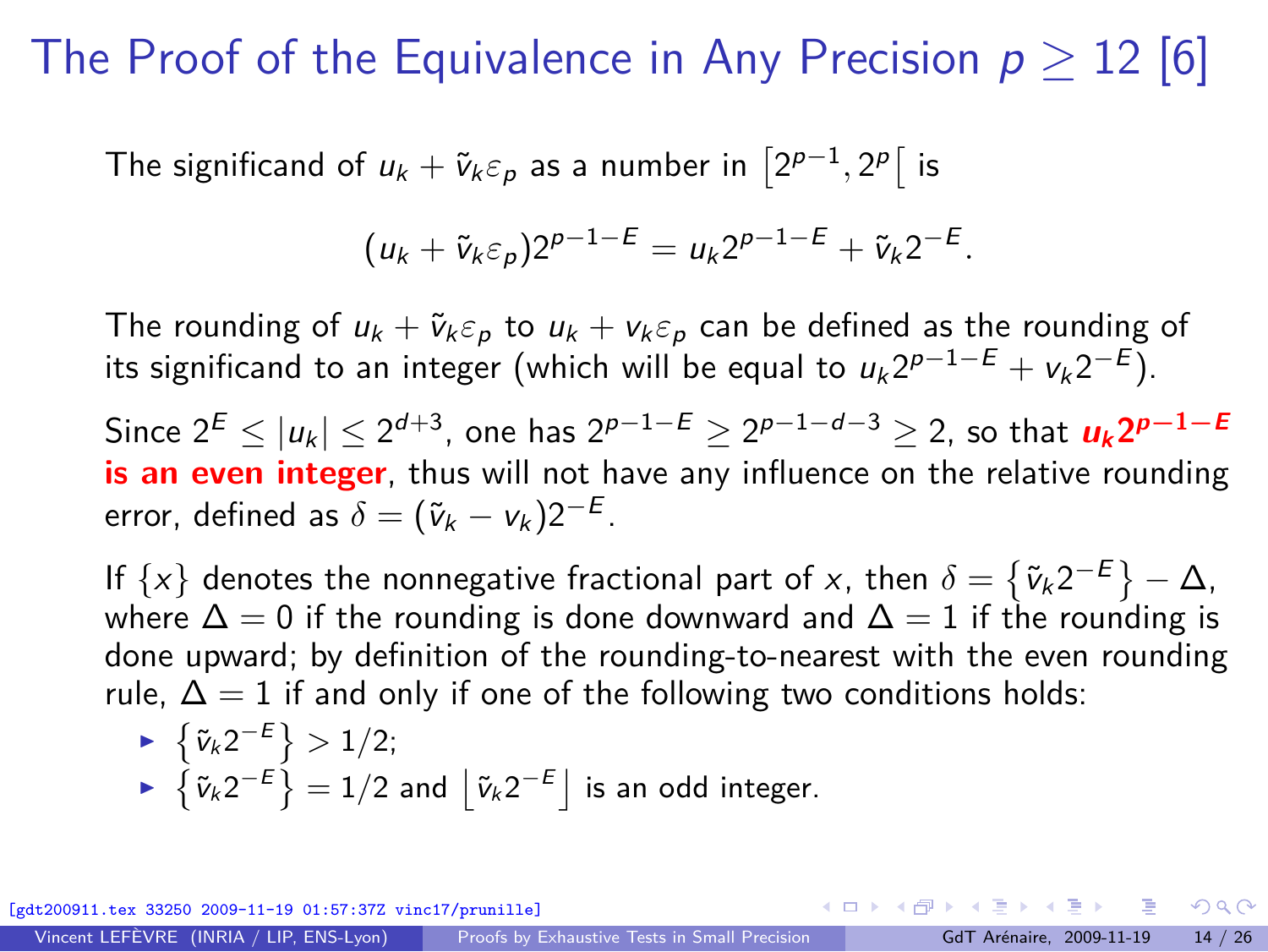#### The Proof of the Equivalence in Any Precision p *≥* 12 [6]

The significand of  $u_k + \tilde{v}_k \varepsilon_p$  as a number in  $\left[2^{p-1}, 2^p\right]$  is

$$
(u_k+\tilde{v}_k \varepsilon_p)2^{p-1-E}=u_k 2^{p-1-E}+\tilde{v}_k 2^{-E}.
$$

The rounding of  $u_k + \tilde{v}_k \varepsilon_p$  to  $u_k + v_k \varepsilon_p$  can be defined as the rounding of its significand to an integer (which will be equal to  $u_k 2^{p-1-E} + v_k 2^{-E}$ ).

 $2^E \le |u_k| \le 2^{d+3}$ , one has  $2^{p-1-E} \ge 2^{p-1-d-3} \ge 2$ , so that  $u_k 2^{p-1-E}$ **is an even integer**, thus will not have any influence on the relative rounding error, defined as  $\delta = (\tilde{v}_k - v_k)2^{-E}$ .

If  $\{x\}$  denotes the nonnegative fractional part of *x*, then  $\delta = \{\tilde{v}_k 2^{-E}\} - \Delta$ , where  $\Delta = 0$  if the rounding is done downward and  $\Delta = 1$  if the rounding is done upward; by definition of the rounding-to-nearest with the even rounding rule,  $\Delta = 1$  if and only if one of the following two conditions holds:

► 
$$
\{\tilde{v}_k 2^{-E}\} > 1/2;
$$
  
▶  $\{\tilde{v}_k 2^{-E}\} = 1/2$  and  $\lfloor \tilde{v}_k 2^{-E} \rfloor$  is an odd integer.

 $33250$   $2009-11-19$   $01:57:37Z$  vinc17/prunille]

 $\Omega$ 

←ロト ←何ト ←ヨト ←ヨトー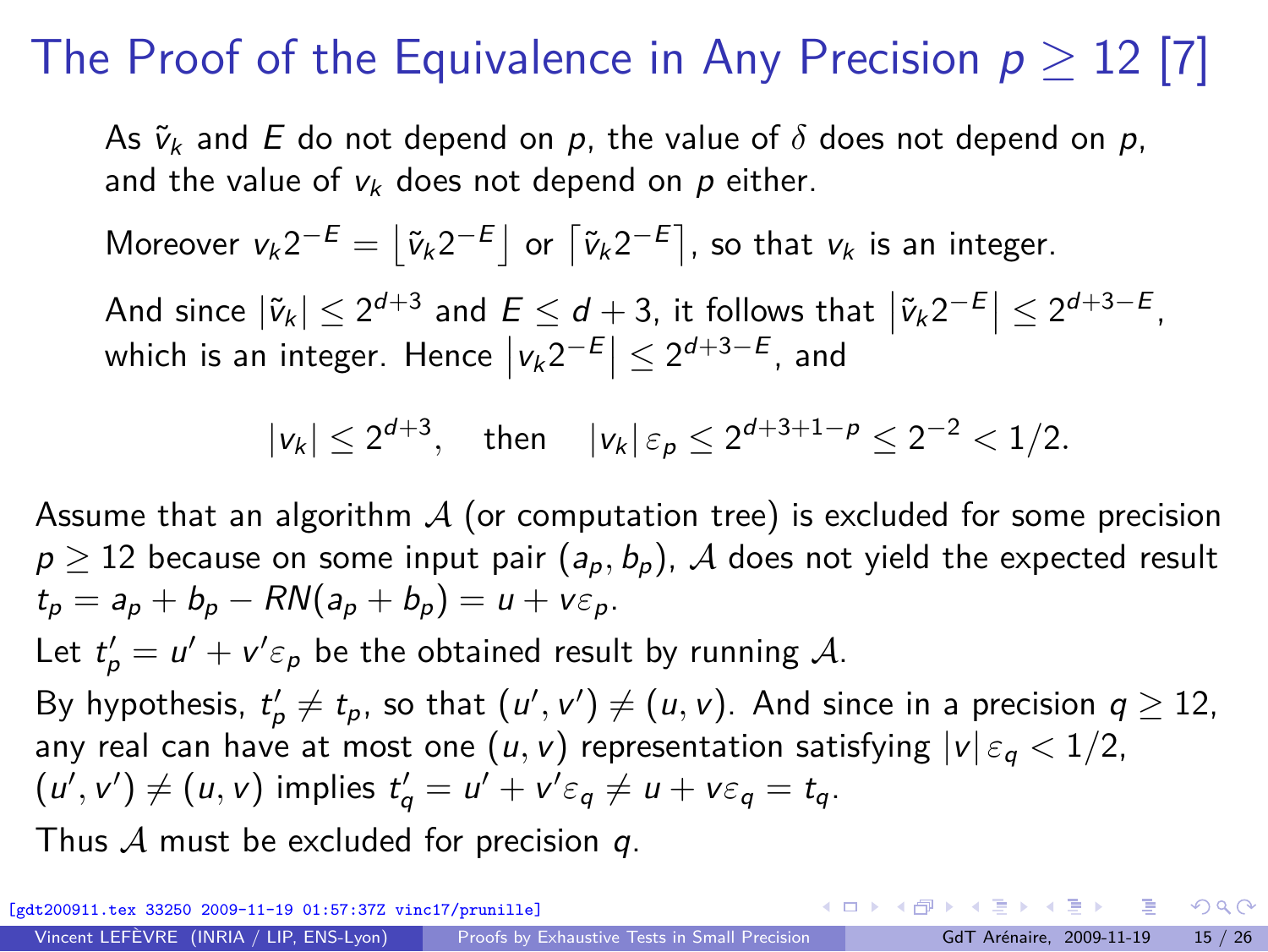# The Proof of the Equivalence in Any Precision  $p \geq 12$  [7]

As  $\tilde{v}_k$  and *E* do not depend on *p*, the value of  $\delta$  does not depend on *p*, and the value of  $v_k$  does not depend on  $p$  either.

Moreover  $v_k 2^{-E} = \left[ \tilde{v}_k 2^{-E} \right]$  or  $\left[ \tilde{v}_k 2^{-E} \right]$ , so that  $v_k$  is an integer.

And since  $|\tilde{v}_k| \leq 2^{d+3}$  and  $E \leq d+3$ , it follows that  $|\tilde{v}_k 2^{-E}| \leq 2^{d+3-E}$ , which is an integer. Hence  $|v_k 2^{-E}| \leq 2^{d+3-E}$ , and

$$
|v_k| \le 2^{d+3}, \quad \text{then} \quad |v_k| \, \varepsilon_p \le 2^{d+3+1-\rho} \le 2^{-2} < 1/2.
$$

Assume that an algorithm *A* (or computation tree) is excluded for some precision  $p \ge 12$  because on some input pair  $(a_p, b_p)$ , *A* does not yield the expected result  $t_p = a_p + b_p - RN(a_p + b_p) = u + v \varepsilon_p.$ 

Let  $t'_p = u' + v' \varepsilon_p$  be the obtained result by running A.

By hypothesis,  $t'_{p} \neq t_{p}$ , so that  $(u', v') \neq (u, v)$ . And since in a precision  $q \geq 12$ , any real can have at most one  $(u, v)$  representation satisfying  $|v| \varepsilon_a < 1/2$ ,  $(u', v') \neq (u, v)$  implies  $t'_q = u' + v' \varepsilon_q \neq u + v \varepsilon_q = t_q$ .

Thus *A* must be excluded for precision *q*.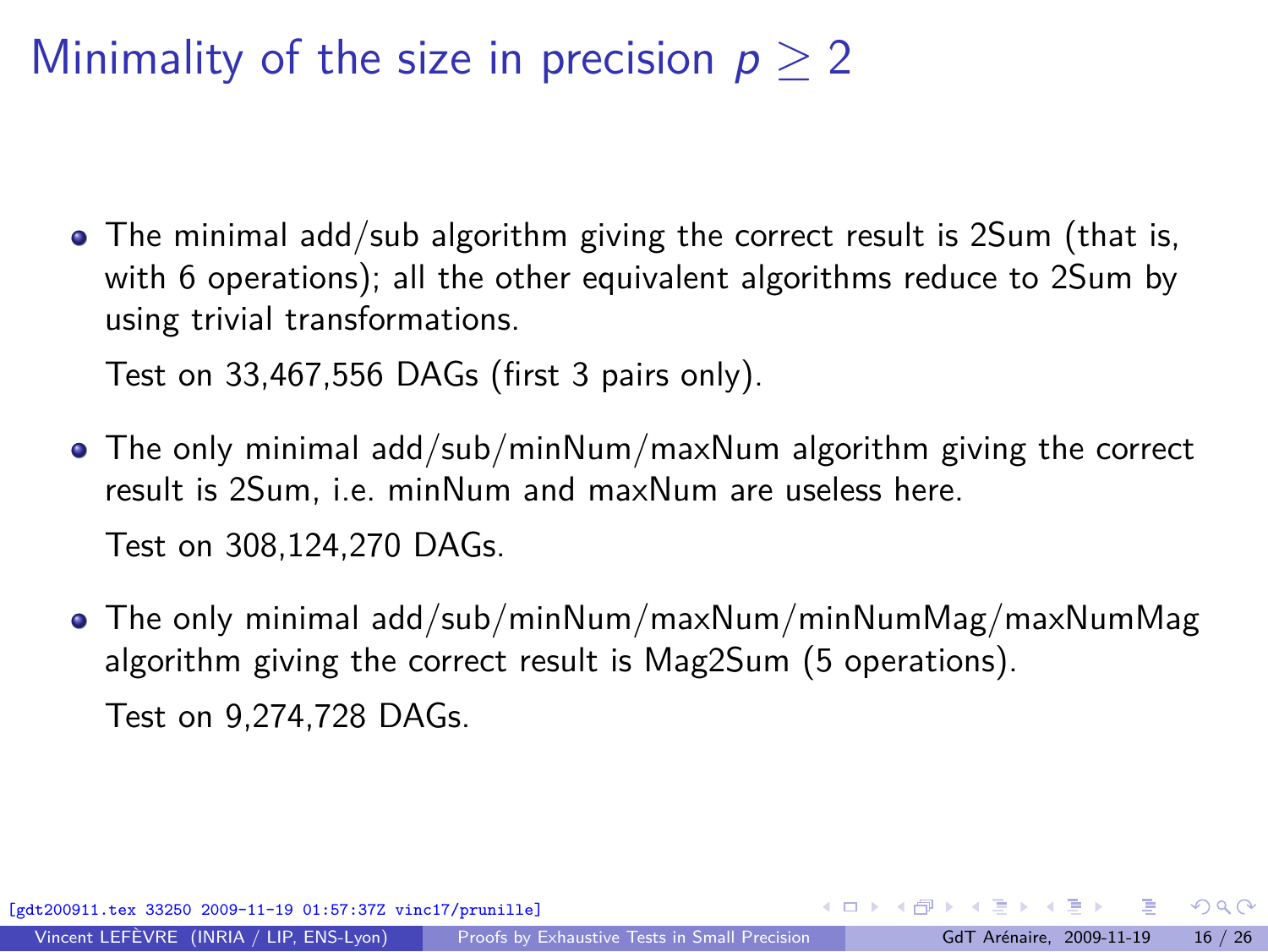Minimality of the size in precision p *≥* 2

• The minimal add/sub algorithm giving the correct result is 2Sum (that is, with 6 operations); all the other equivalent algorithms reduce to 2Sum by using trivial transformations.

Test on 33,467,556 DAGs (first 3 pairs only).

- The only minimal add/sub/minNum/maxNum algorithm giving the correct result is 2Sum, i.e. minNum and maxNum are useless here. Test on 308,124,270 DAGs.
- The only minimal add/sub/minNum/maxNum/minNumMag/maxNumMag algorithm giving the correct result is Mag2Sum (5 operations). Test on 9,274,728 DAGs.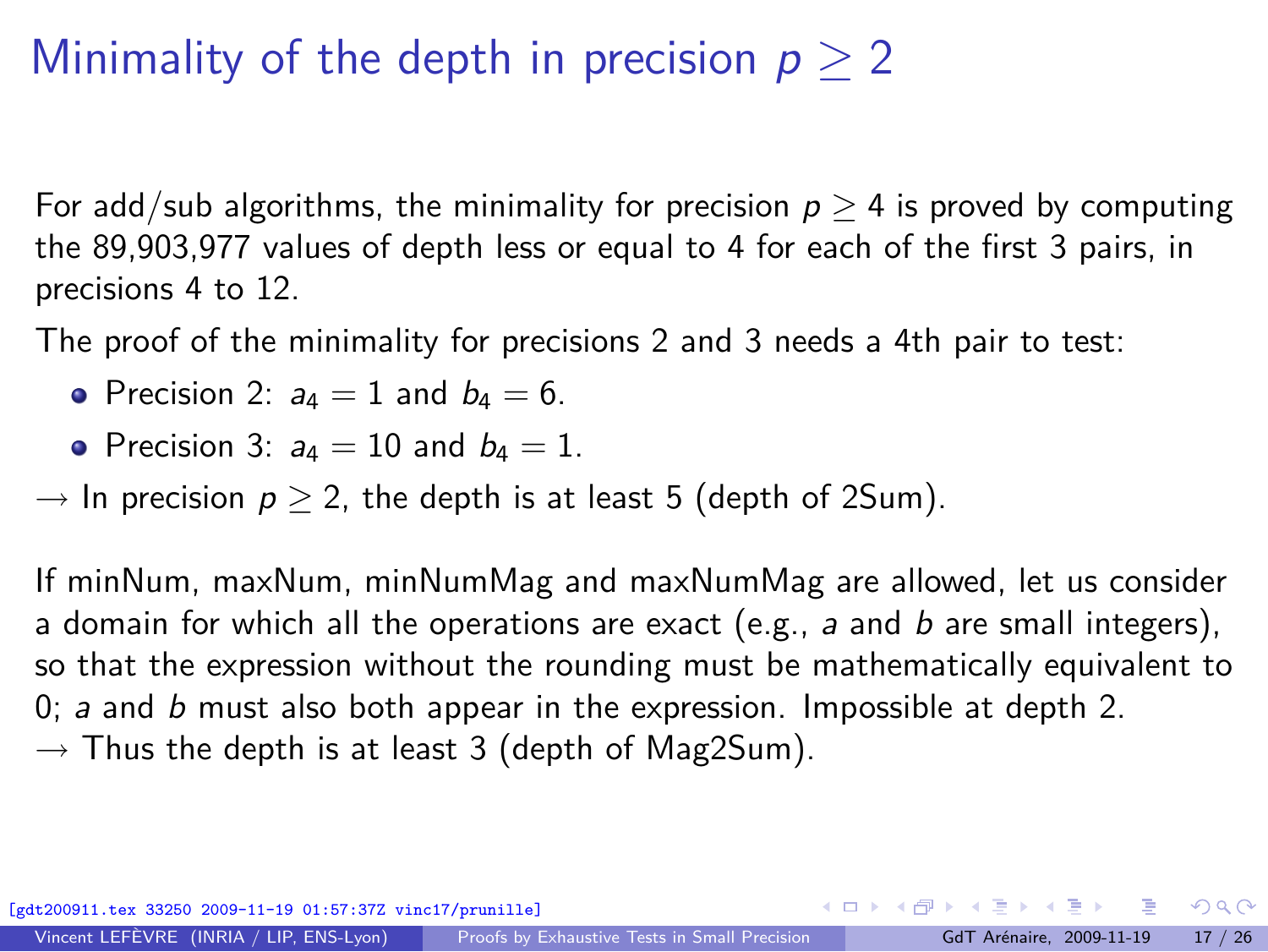## Minimality of the depth in precision p *≥* 2

For add/sub algorithms, the minimality for precision  $p \geq 4$  is proved by computing the 89,903,977 values of depth less or equal to 4 for each of the first 3 pairs, in precisions 4 to 12.

The proof of the minimality for precisions 2 and 3 needs a 4th pair to test:

- Precision 2:  $a_4 = 1$  and  $b_4 = 6$ .
- Precision 3:  $a_4 = 10$  and  $b_4 = 1$ .
- $\rightarrow$  In precision  $p > 2$ , the depth is at least 5 (depth of 2Sum).

If minNum, maxNum, minNumMag and maxNumMag are allowed, let us consider a domain for which all the operations are exact (e.g., *a* and *b* are small integers), so that the expression without the rounding must be mathematically equivalent to 0; *a* and *b* must also both appear in the expression. Impossible at depth 2. *→* Thus the depth is at least 3 (depth of Mag2Sum).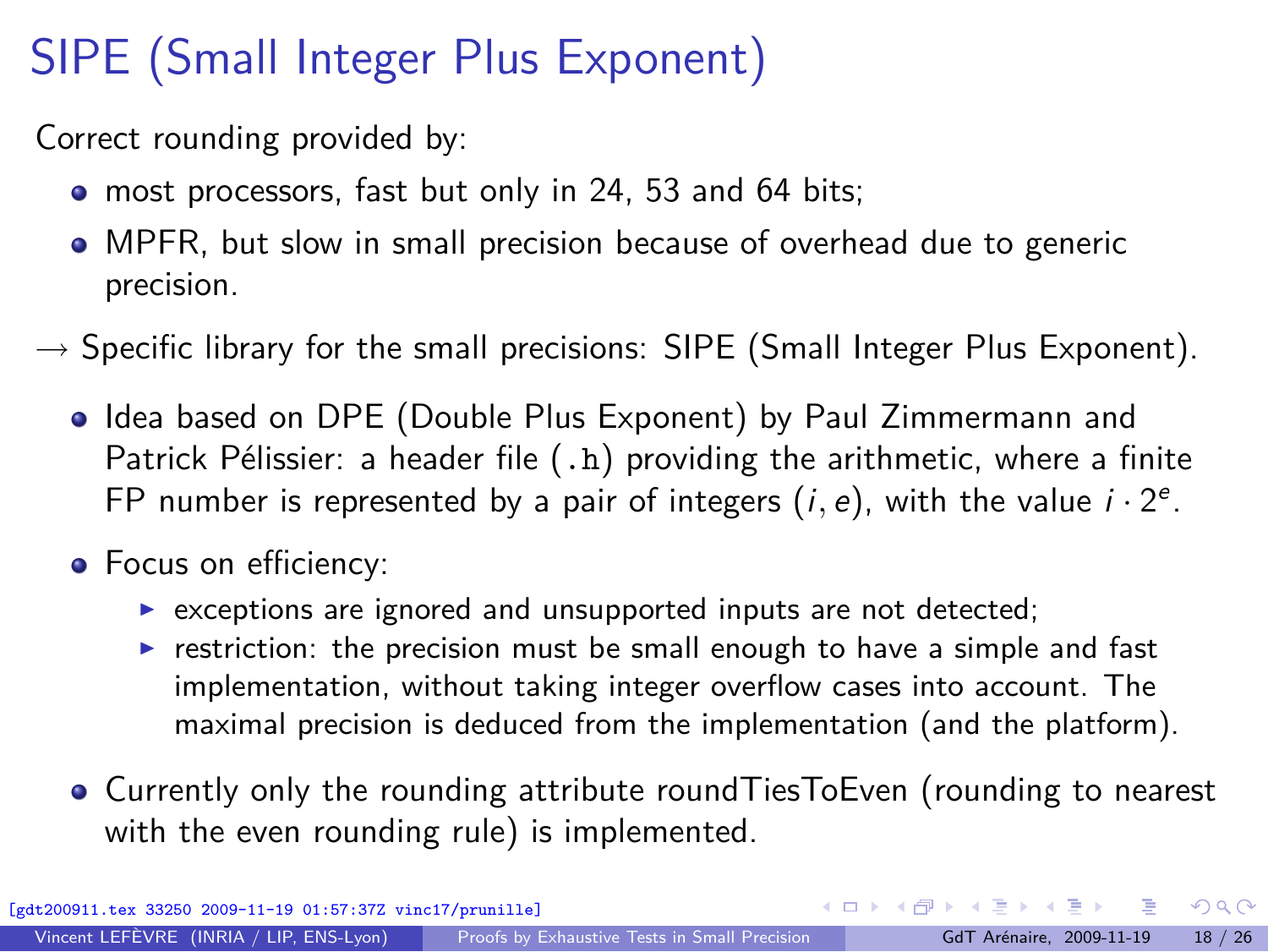# SIPE (Small Integer Plus Exponent)

Correct rounding provided by:

- most processors, fast but only in 24, 53 and 64 bits;
- MPFR, but slow in small precision because of overhead due to generic precision.
- *→* Specific library for the small precisions: SIPE (Small Integer Plus Exponent).
	- Idea based on DPE (Double Plus Exponent) by Paul Zimmermann and Patrick Pélissier: a header file (.h) providing the arithmetic, where a finite FP number is represented by a pair of integers  $(i, e)$ , with the value  $i \cdot 2^e$ .
	- Focus on efficiency:
		- ▶ exceptions are ignored and unsupported inputs are not detected;
		- $\triangleright$  restriction: the precision must be small enough to have a simple and fast implementation, without taking integer overflow cases into account. The maximal precision is deduced from the implementation (and the platform).
	- Currently only the rounding attribute roundTiesToEven (rounding to nearest with the even rounding rule) is implemented.

[gdt200911.tex 33250 2009-11-19 01:57:37Z vinc17/prunille]

<span id="page-17-0"></span> $\Omega$ 

K ロ > K 個 > K 경 > K 경 > X 경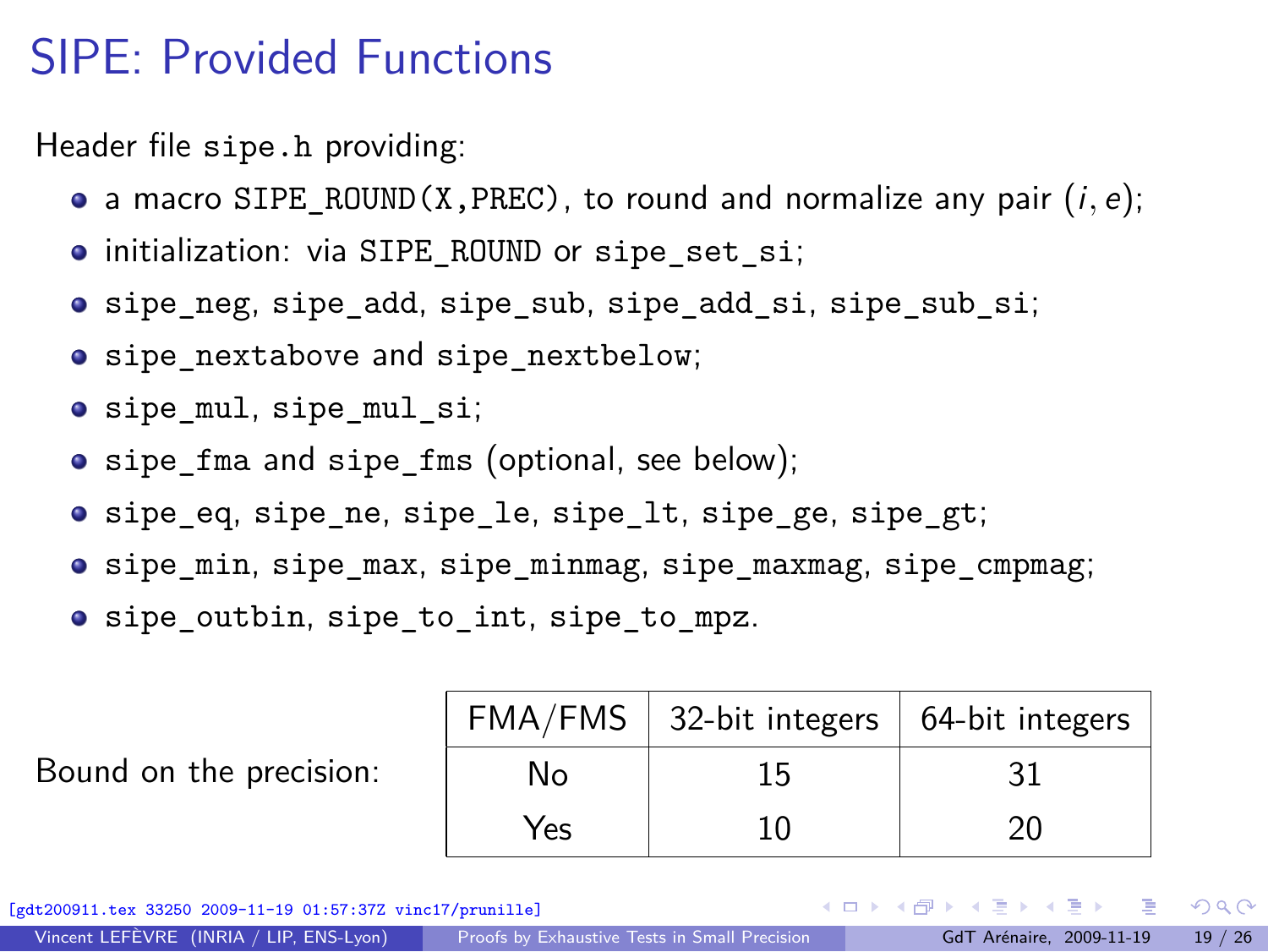### SIPE: Provided Functions

Header file sipe.h providing:

- a macro SIPE\_ROUND(X, PREC), to round and normalize any pair  $(i, e)$ ;
- $\bullet$  initialization: via SIPE\_ROUND or sipe\_set\_si;
- sipe\_neg, sipe\_add, sipe\_sub, sipe\_add\_si, sipe\_sub\_si;
- sipe\_nextabove and sipe\_nextbelow;
- sipe\_mul, sipe\_mul\_si;
- sipe fma and sipe fms (optional, see below);
- sipe eq, sipe ne, sipe le, sipe lt, sipe ge, sipe gt;
- $\bullet$  sipe min, sipe max, sipe minmag, sipe maxmag, sipe cmpmag;
- $\bullet$  sipe outbin, sipe to int, sipe to mpz.

|  |  |  | Bound on the precision: |
|--|--|--|-------------------------|
|--|--|--|-------------------------|

|     | $FMA/FMS$ 32-bit integers   64-bit integers |    |
|-----|---------------------------------------------|----|
| N٥  | 15                                          | 31 |
| Yes | ា∩⊤                                         | 20 |

[gdt200911.tex 33250 2009-11-19 01:57:37Z vinc17/prunille]

 $\Omega$ 

イロト イ何 ト イヨ ト イヨ トー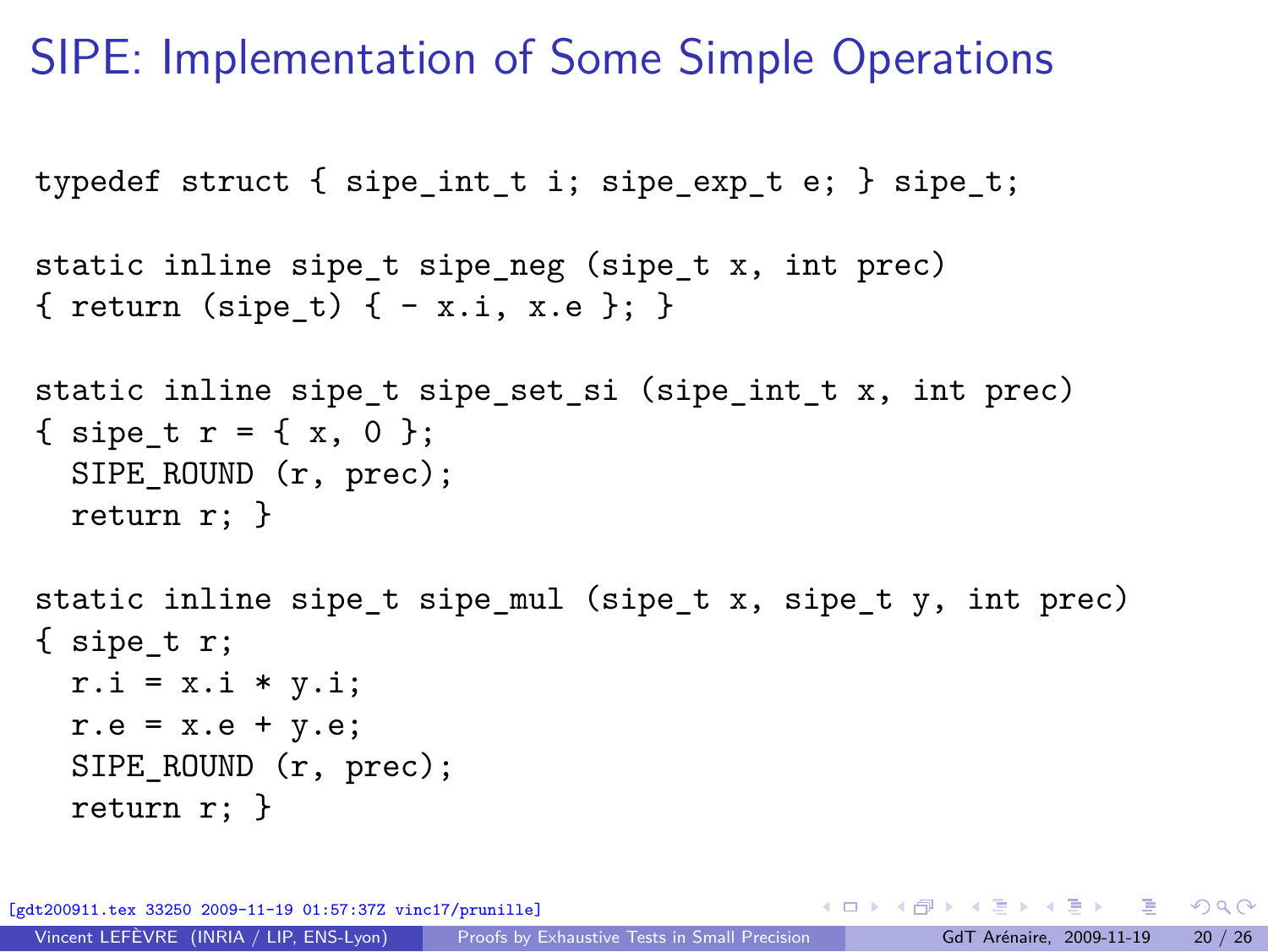#### SIPE: Implementation of Some Simple Operations

```
typedef struct { sipe int t i; sipe exp t e; } sipe t;
```

```
static inline sipe_t sipe_neg (sipe_t x, int prec)
{ return (sipe t) { - x.i, x.e }; }
```

```
static inline sipe t sipe set si (sipe int t x, int prec)
{ sipe t r = { x, 0 };
 SIPE_ROUND (r, prec);
 return r; }
```

```
static inline sipe_t sipe_mul (sipe_t x, sipe_t y, int prec)
{ sipe_t r;
 r.i = x.i * y.i;r.e = x.e + y.e;SIPE ROUND (r, prec);
 return r; }
```
K ロ ▶ K 個 ▶ K 로 ▶ K 로 ▶ - 로 - K 9 Q @ [gdt200911.tex 33250 2009-11-19 01:57:37Z vinc17/prunille]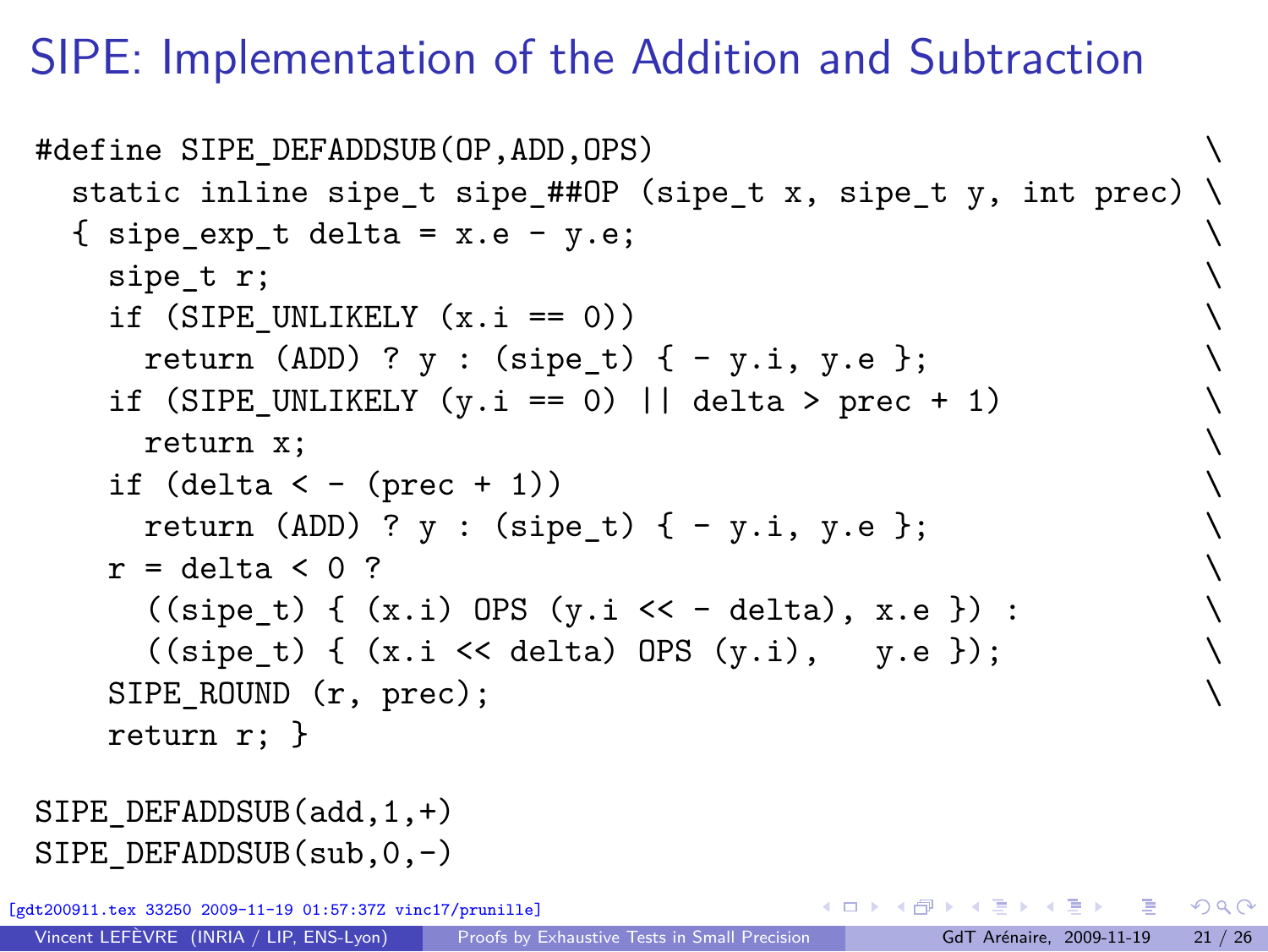# SIPE: Implementation of the Addition and Subtraction

```
#define SIPE DEFADDSUB(OP, ADD, OPS)
  static inline sipe t sipe ##OP (sipe t x, sipe t y, int prec) \setminus{ sipe exp t delta = x.e - y.e;
    sipe t r;
    if (SIPE UNLIKELY (x.i == 0))
       return (ADD) ? y : (sipe t) { - y.i, y.e };
    if (SIPE_UNLIKELY (y.i == 0) || delta > prec + 1)
       return x; \
    if (detta < - (prec + 1))return (ADD) ? y : (sipe t) { - y.i, y.e };
    r = delta \lt 0 ?
       ((\text{size}_t) \{ (x.i) \text{OPS } (y.i \leq -\text{delta}), x.e.}) :((\text{size}_t) \{ (x.i \leq \text{delta}) \text{OPS } (y.i), y.e.} \});
    SIPE_ROUND (r, prec); \
    return r; }
SIPE_DEFADDSUB(add,1,+)
SIPE_DEFADDSUB(sub,0,-)
       [gdt200911.tex 33250 2009-11-19 01:57:37Z vinc17/prunille]
                                                   イロメ イ何 メイヨメ イヨメーヨ
                                                                           QQ
```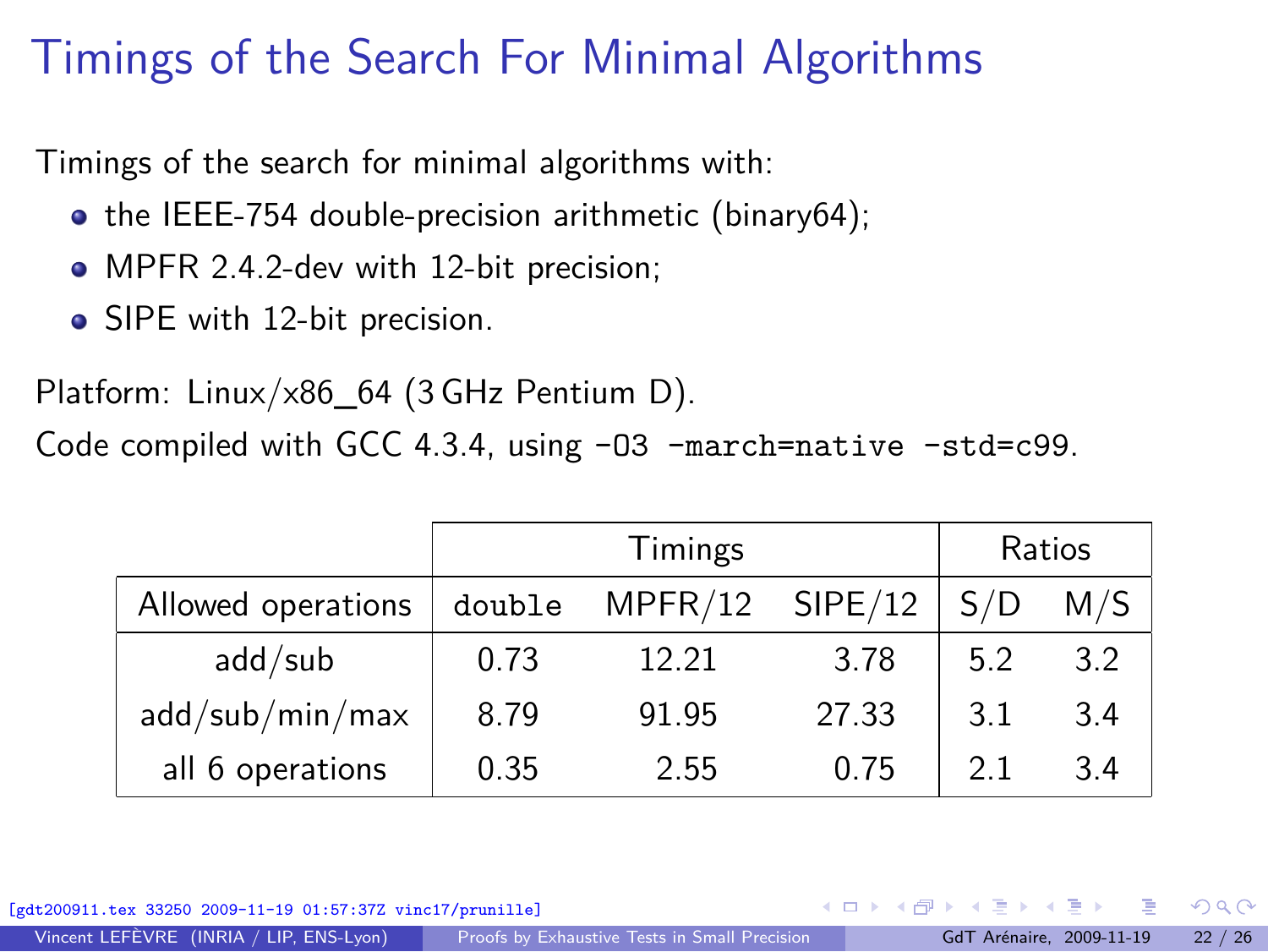# Timings of the Search For Minimal Algorithms

Timings of the search for minimal algorithms with:

- $\bullet$  the IEEE-754 double-precision arithmetic (binary64);
- MPFR 2.4.2-dev with 12-bit precision;
- SIPE with 12-bit precision.

Platform: Linux/x86\_64 (3 GHz Pentium D).

Code compiled with GCC 4.3.4, using -O3 -march=native -std=c99.

|                    | Timings |                   |       | Ratios |     |
|--------------------|---------|-------------------|-------|--------|-----|
| Allowed operations | double  | $MPFR/12$ SIPE/12 |       | S/D    | M/S |
| add/sub            | 0.73    | 12.21             | 3.78  | 5.2    | 3.2 |
| add/sub/min/max    | 8.79    | 91.95             | 27.33 | 3.1    | 3.4 |
| all 6 operations   | 0.35    | 2.55              | 0.75  | 21     | 3.4 |

[gdt200911.tex 33250 2009-11-19 01:57:37Z vinc17/prunille]

Vincent LEFÈVRE (INRIA / LIP, ENS-Lyon) [Proofs by Exhaustive Tests in Small Precision](#page-0-0) GdT Arénaire, 2009-11-19 22 / 26

 $\Omega$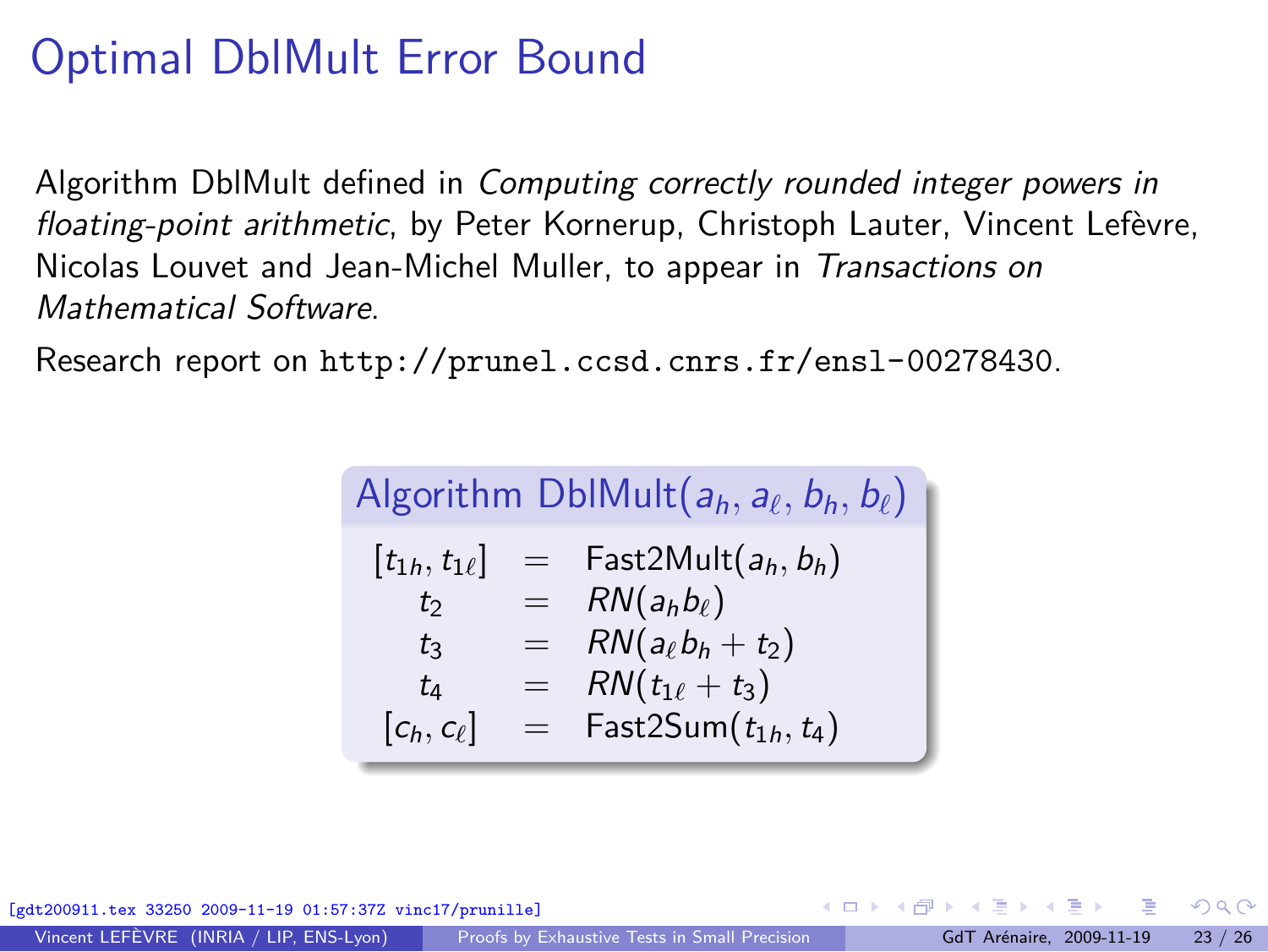# Optimal DblMult Error Bound

Algorithm DblMult defined in *Computing correctly rounded integer powers in floating-point arithmetic*, by Peter Kornerup, Christoph Lauter, Vincent Lefèvre, Nicolas Louvet and Jean-Michel Muller, to appear in *Transactions on Mathematical Software*.

Research report on <http://prunel.ccsd.cnrs.fr/ensl-00278430>.

| Algorithm DblMult $(a_h, a_\ell, b_h, b_\ell)$ |     |                              |  |  |
|------------------------------------------------|-----|------------------------------|--|--|
| $[t_{1h}, t_{1\ell}]$                          |     | $=$ Fast2Mult $(a_h, b_h)$   |  |  |
| t                                              |     | $= R N(a_h b_\ell)$          |  |  |
| tз                                             |     | $= RN(a_{\ell}b_h+t_2)$      |  |  |
| tд                                             | $=$ | $RN(t_{1\ell} + t_3)$        |  |  |
| $[c_h, c_\ell]$                                |     | $=$ Fast2Sum $(t_{1h}, t_4)$ |  |  |

33250 2009-11-19 01:57:37Z vinc17/prunille]

<span id="page-22-0"></span> $\Omega$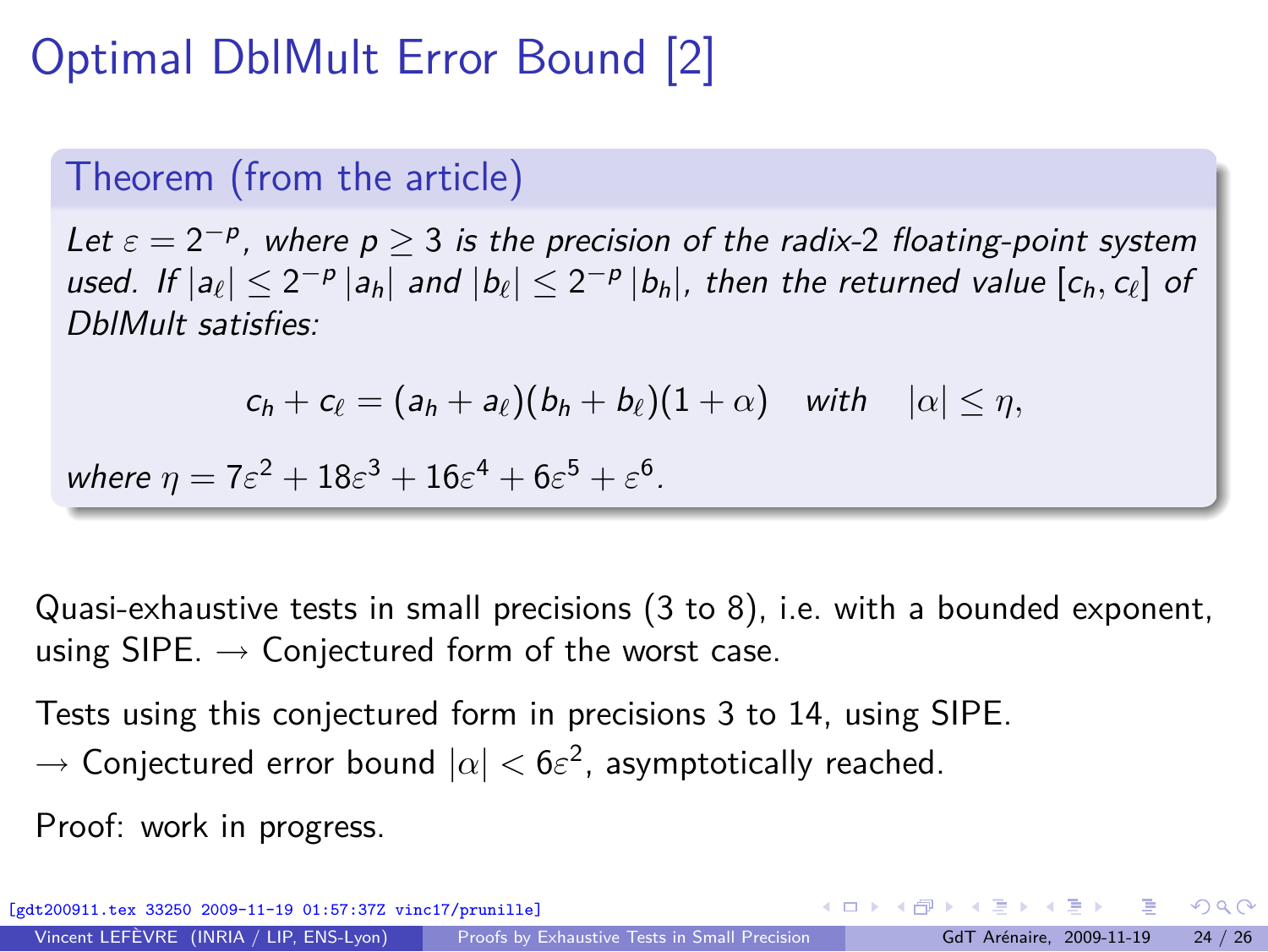# Optimal DblMult Error Bound [2]

#### Theorem (from the article)

*Let ε* = 2 *−*p *, where p ≥* 3 *is the precision of the radix-*2 *floating-point system* used. If  $|a_{\ell}| \leq 2^{-p} |a_h|$  and  $|b_{\ell}| \leq 2^{-p} |b_h|$ , then the returned value  $[c_h, c_{\ell}]$  of *DblMult satisfies:*

$$
c_h+c_\ell=(a_h+a_\ell)(b_h+b_\ell)(1+\alpha) \quad \text{with} \quad |\alpha|\leq \eta,
$$

*where*  $\eta = 7\varepsilon^2 + 18\varepsilon^3 + 16\varepsilon^4 + 6\varepsilon^5 + \varepsilon^6$ .

Quasi-exhaustive tests in small precisions (3 to 8), i.e. with a bounded exponent, using SIPE. *→* Conjectured form of the worst case.

Tests using this conjectured form in precisions 3 to 14, using SIPE. *→* Conjectured error bound *|α| <* 6*ε* 2 , asymptotically reached.

Proof: work in progress.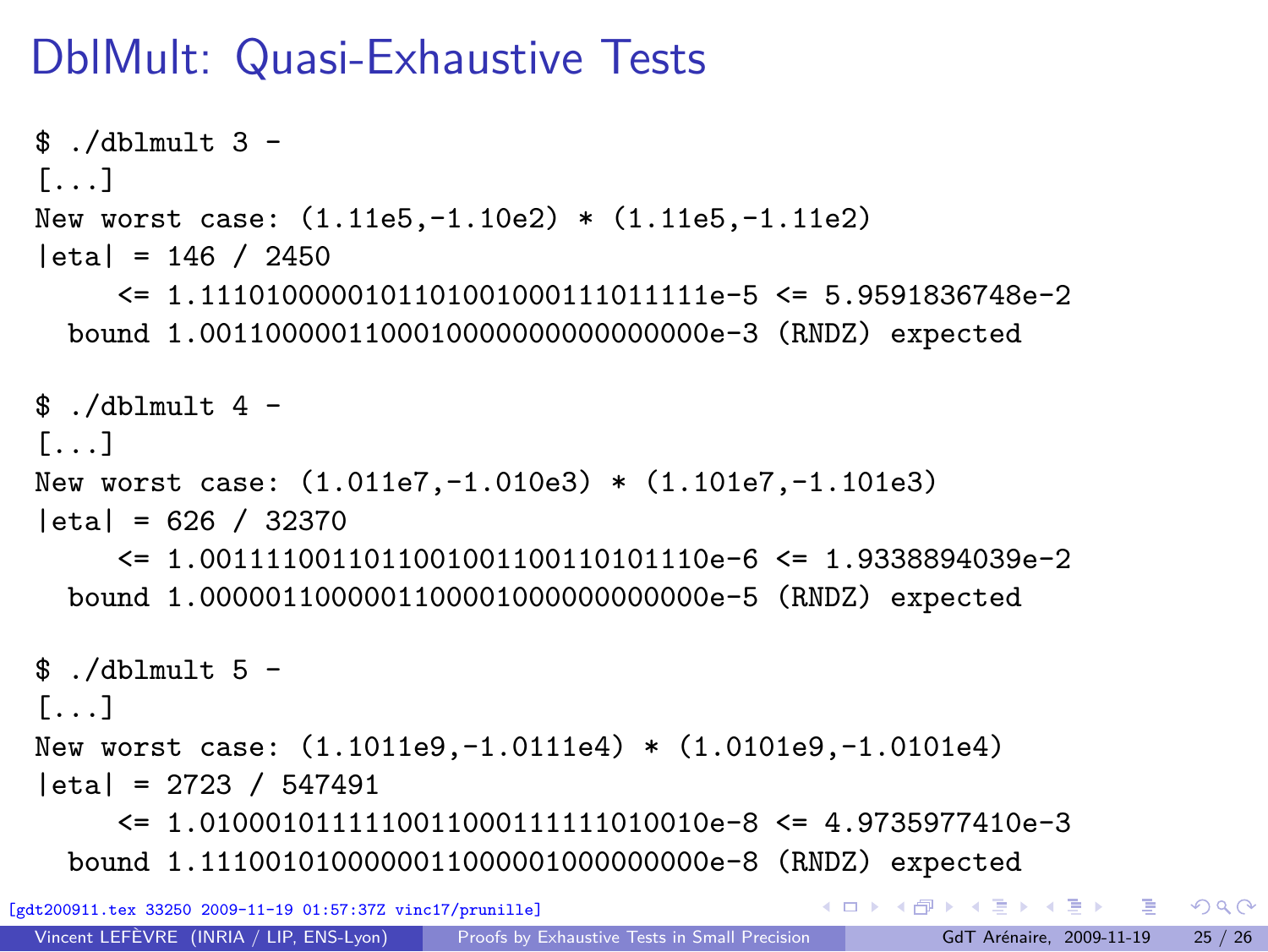# DblMult: Quasi-Exhaustive Tests

```
$./dblmult 3 -[...]
 New worst case: (1.11e5,-1.10e2) * (1.11e5,-1.11e2)
  |eta| = 146 / 2450
       \leq 1.110100000101101001000111011111e-5 \leq 5.9591836748e-2
   bound 1.0011000001100010000000000000000e-3 (RNDZ) expected
 $./dblmult 4 -[1, 1]New worst case: (1.011e7,-1.010e3) * (1.101e7,-1.101e3)
  |eta| = 626 / 32370
       <= 1.0011110011011001001100110101110e-6 <= 1.9338894039e-2
   bound 1.0000011000001100001000000000000e-5 (RNDZ) expected
 $ /dblmult 5 -
 [1, 1]New worst case: (1.1011e9,-1.0111e4) * (1.0101e9,-1.0101e4)
  |eta| = 2723 / 547491
       \leq 1.010001011111100110001111111010010e-8 \leq 4.9735977410e-3
   bound 1.1110010100000011000001000000000e-8 (RNDZ) expected
                                                     K ロ ▶ K 個 ▶ K 로 ▶ K 로 ▶ - 로 - K 9 Q @
[gdt200911.tex 33250 2009-11-19 01:57:37Z vinc17/prunille]
 Proofs by Exhaustive Tests in Small Precision GdT Arénaire, 2009-11-19 25 / 26
```